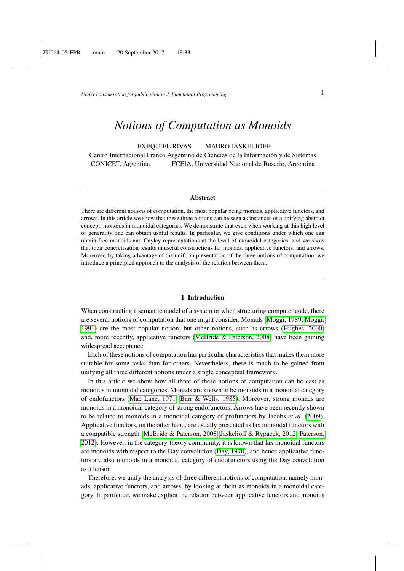*Under consideration for publication in J. Functional Programming*  $1$ 

# *Notions of Computation as Monoids*

EXEQUIEL RIVAS MAURO JASKELIOFF Centro Internacional Franco Argentino de Ciencias de la Información y de Sistemas CONICET, Argentina FCEIA, Universidad Nacional de Rosario, Argentina

#### **Abstract**

There are different notions of computation, the most popular being monads, applicative functors, and arrows. In this article we show that these three notions can be seen as instances of a unifying abstract concept: monoids in monoidal categories. We demonstrate that even when working at this high level of generality one can obtain useful results. In particular, we give conditions under which one can obtain free monoids and Cayley representations at the level of monoidal categories, and we show that their concretisation results in useful constructions for monads, applicative functors, and arrows. Moreover, by taking advantage of the uniform presentation of the three notions of computation, we introduce a principled approach to the analysis of the relation between them.

#### 1 Introduction

When constructing a semantic model of a system or when structuring computer code, there are several notions of computation that one might consider. Monads [\(Moggi, 1989;](#page-39-0) [Moggi,](#page-39-1) [1991\)](#page-39-1) are the most popular notion, but other notions, such as arrows [\(Hughes, 2000\)](#page-38-0) and, more recently, applicative functors [\(McBride & Paterson, 2008\)](#page-39-2) have been gaining widespread acceptance.

Each of these notions of computation has particular characteristics that makes them more suitable for some tasks than for others. Nevertheless, there is much to be gained from unifying all three different notions under a single conceptual framework.

In this article we show how all three of these notions of computation can be cast as monoids in monoidal categories. Monads are known to be monoids in a monoidal category of endofunctors [\(Mac Lane, 1971;](#page-39-3) [Barr & Wells, 1985\)](#page-37-0). Moreover, strong monads are monoids in a monoidal category of strong endofunctors. Arrows have been recently shown to be related to monoids in a monoidal category of profunctors by Jacobs *et al.* [\(2009\)](#page-38-1). Applicative functors, on the other hand, are usually presented as lax monoidal functors with a compatible strength [\(McBride & Paterson, 2008;](#page-39-2) [Jaskelioff & Rypacek, 2012;](#page-38-2) [Paterson,](#page-39-4) [2012\)](#page-39-4). However, in the category-theory community, it is known that lax monoidal functors are monoids with respect to the Day convolution [\(Day, 1970\)](#page-38-3), and hence applicative functors are also monoids in a monoidal category of endofunctors using the Day convolution as a tensor.

Therefore, we unify the analysis of three different notions of computation, namely monads, applicative functors, and arrows, by looking at them as monoids in a monoidal category. In particular, we make explicit the relation between applicative functors and monoids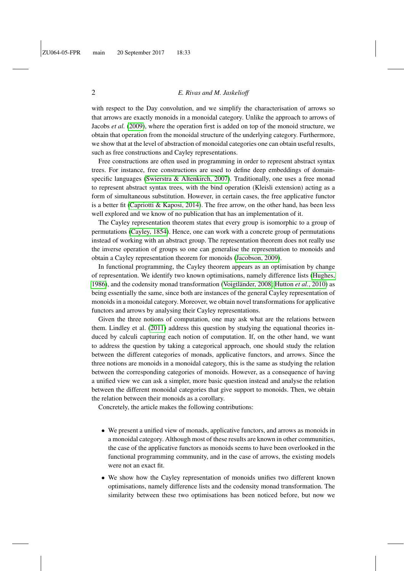with respect to the Day convolution, and we simplify the characterisation of arrows so that arrows are exactly monoids in a monoidal category. Unlike the approach to arrows of Jacobs *et al.* [\(2009\)](#page-38-1), where the operation first is added on top of the monoid structure, we obtain that operation from the monoidal structure of the underlying category. Furthermore, we show that at the level of abstraction of monoidal categories one can obtain useful results, such as free constructions and Cayley representations.

Free constructions are often used in programming in order to represent abstract syntax trees. For instance, free constructions are used to define deep embeddings of domainspecific languages [\(Swierstra & Altenkirch, 2007\)](#page-39-5). Traditionally, one uses a free monad to represent abstract syntax trees, with the bind operation (Kleisli extension) acting as a form of simultaneous substitution. However, in certain cases, the free applicative functor is a better fit [\(Capriotti & Kaposi, 2014\)](#page-37-1). The free arrow, on the other hand, has been less well explored and we know of no publication that has an implementation of it.

The Cayley representation theorem states that every group is isomorphic to a group of permutations [\(Cayley, 1854\)](#page-37-2). Hence, one can work with a concrete group of permutations instead of working with an abstract group. The representation theorem does not really use the inverse operation of groups so one can generalise the representation to monoids and obtain a Cayley representation theorem for monoids [\(Jacobson, 2009\)](#page-38-4).

In functional programming, the Cayley theorem appears as an optimisation by change of representation. We identify two known optimisations, namely difference lists [\(Hughes,](#page-38-5) [1986\)](#page-38-5), and the codensity monad transformation (Voigtländer, 2008; [Hutton](#page-38-6) *et al.*, 2010) as being essentially the same, since both are instances of the general Cayley representation of monoids in a monoidal category. Moreover, we obtain novel transformations for applicative functors and arrows by analysing their Cayley representations.

Given the three notions of computation, one may ask what are the relations between them. Lindley et al. [\(2011\)](#page-38-7) address this question by studying the equational theories induced by calculi capturing each notion of computation. If, on the other hand, we want to address the question by taking a categorical approach, one should study the relation between the different categories of monads, applicative functors, and arrows. Since the three notions are monoids in a monoidal category, this is the same as studying the relation between the corresponding categories of monoids. However, as a consequence of having a unified view we can ask a simpler, more basic question instead and analyse the relation between the different monoidal categories that give support to monoids. Then, we obtain the relation between their monoids as a corollary.

Concretely, the article makes the following contributions:

- We present a unified view of monads, applicative functors, and arrows as monoids in a monoidal category. Although most of these results are known in other communities, the case of the applicative functors as monoids seems to have been overlooked in the functional programming community, and in the case of arrows, the existing models were not an exact fit.
- We show how the Cayley representation of monoids unifies two different known optimisations, namely difference lists and the codensity monad transformation. The similarity between these two optimisations has been noticed before, but now we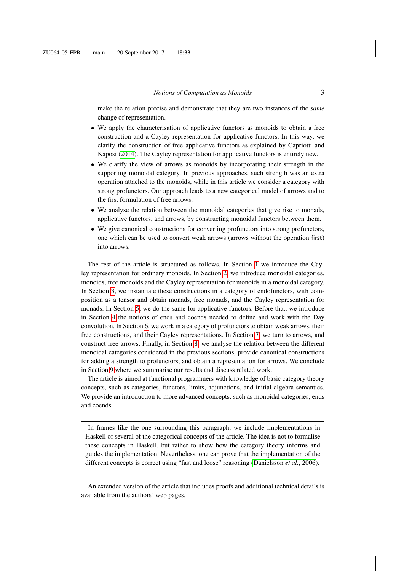make the relation precise and demonstrate that they are two instances of the *same* change of representation.

- We apply the characterisation of applicative functors as monoids to obtain a free construction and a Cayley representation for applicative functors. In this way, we clarify the construction of free applicative functors as explained by Capriotti and Kaposi [\(2014\)](#page-37-1). The Cayley representation for applicative functors is entirely new.
- We clarify the view of arrows as monoids by incorporating their strength in the supporting monoidal category. In previous approaches, such strength was an extra operation attached to the monoids, while in this article we consider a category with strong profunctors. Our approach leads to a new categorical model of arrows and to the first formulation of free arrows.
- We analyse the relation between the monoidal categories that give rise to monads, applicative functors, and arrows, by constructing monoidal functors between them.
- We give canonical constructions for converting profunctors into strong profunctors, one which can be used to convert weak arrows (arrows without the operation first) into arrows.

The rest of the article is structured as follows. In Section [1](#page-3-0) we introduce the Cayley representation for ordinary monoids. In Section [2,](#page-4-0) we introduce monoidal categories, monoids, free monoids and the Cayley representation for monoids in a monoidal category. In Section [3,](#page-8-0) we instantiate these constructions in a category of endofunctors, with composition as a tensor and obtain monads, free monads, and the Cayley representation for monads. In Section [5,](#page-15-0) we do the same for applicative functors. Before that, we introduce in Section [4](#page-12-0) the notions of ends and coends needed to define and work with the Day convolution. In Section [6,](#page-22-0) we work in a category of profunctors to obtain weak arrows, their free constructions, and their Cayley representations. In Section [7,](#page-26-0) we turn to arrows, and construct free arrows. Finally, in Section [8,](#page-29-0) we analyse the relation between the different monoidal categories considered in the previous sections, provide canonical constructions for adding a strength to profunctors, and obtain a representation for arrows. We conclude in Section [9](#page-36-0) where we summarise our results and discuss related work.

The article is aimed at functional programmers with knowledge of basic category theory concepts, such as categories, functors, limits, adjunctions, and initial algebra semantics. We provide an introduction to more advanced concepts, such as monoidal categories, ends and coends.

In frames like the one surrounding this paragraph, we include implementations in Haskell of several of the categorical concepts of the article. The idea is not to formalise these concepts in Haskell, but rather to show how the category theory informs and guides the implementation. Nevertheless, one can prove that the implementation of the different concepts is correct using "fast and loose" reasoning [\(Danielsson](#page-38-8) *et al.*, 2006).

An extended version of the article that includes proofs and additional technical details is available from the authors' web pages.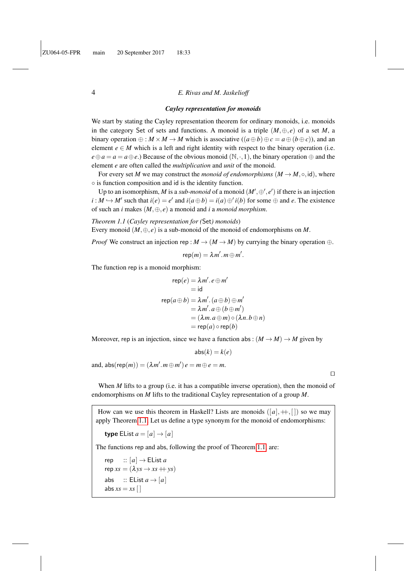#### <span id="page-3-0"></span>*Cayley representation for monoids*

We start by stating the Cayley representation theorem for ordinary monoids, *i.e.* monoids in the category Set of sets and functions. A monoid is a triple  $(M, \oplus, e)$  of a set *M*, a binary operation  $\oplus : M \times M \to M$  which is associative  $((a \oplus b) \oplus c = a \oplus (b \oplus c))$ , and an element  $e \in M$  which is a left and right identity with respect to the binary operation (i.e.  $e \oplus a = a = a \oplus e$ .) Because of the obvious monoid (N, ·, 1), the binary operation  $\oplus$  and the element *e* are often called the *multiplication* and *unit* of the monoid.

For every set *M* we may construct the *monoid of endomorphisms*  $(M \rightarrow M, \circ, id)$ , where ◦ is function composition and id is the identity function.

Up to an isomorphism, *M* is a *sub-monoid* of a monoid  $(M', \oplus', e')$  if there is an injection  $i : M \hookrightarrow M'$  such that  $i(e) = e'$  and  $i(a \oplus b) = i(a) \oplus' i(b)$  for some  $\oplus$  and *e*. The existence of such an *i* makes (*M*,⊕, *e*) a monoid and *i* a *monoid morphism*.

<span id="page-3-1"></span>*Theorem 1.1* (*Cayley representation for (*Set*) monoids*)

Every monoid  $(M, \oplus, e)$  is a sub-monoid of the monoid of endomorphisms on M.

*Proof* We construct an injection rep :  $M \rightarrow (M \rightarrow M)$  by currying the binary operation ⊕.

$$
rep(m) = \lambda m'.m \oplus m'.
$$

The function rep is a monoid morphism:

$$
rep(e) = \lambda m'. e \oplus m'
$$
  
= id  

$$
rep(a \oplus b) = \lambda m'. (a \oplus b) \oplus m'
$$
  
=  $\lambda m'. a \oplus (b \oplus m')$   
=  $(\lambda m. a \oplus m) \circ (\lambda n. b \oplus n)$   
=  $rep(a) \circ rep(b)$ 

Moreover, rep is an injection, since we have a function abs:  $(M \rightarrow M) \rightarrow M$  given by

 $abs(k) = k(e)$ 

and,  $abs(rep(m)) = (\lambda m'.m \oplus m')e = m \oplus e = m$ .

 $\Box$ 

When *M* lifts to a group (i.e. it has a compatible inverse operation), then the monoid of endomorphisms on *M* lifts to the traditional Cayley representation of a group *M*.

How can we use this theorem in Haskell? Lists are monoids  $([a], +, [])$  so we may apply Theorem [1.1.](#page-3-1) Let us define a type synonym for the monoid of endomorphisms:

type EList  $a = [a] \rightarrow [a]$ 

The functions rep and abs, following the proof of Theorem [1.1,](#page-3-1) are:

rep  $:: [a] \rightarrow$  EList *a*  $rep xs = (\lambda ys \rightarrow xs + ys)$ abs  $\therefore$  EList  $a \rightarrow [a]$ abs  $xs = xs$  []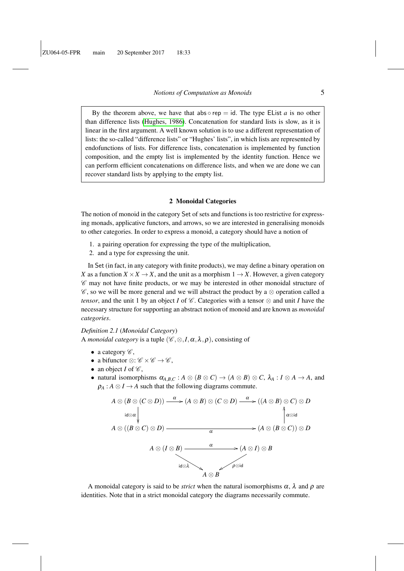By the theorem above, we have that abs  $\circ$  rep = id. The type EList *a* is no other than difference lists [\(Hughes, 1986\)](#page-38-5). Concatenation for standard lists is slow, as it is linear in the first argument. A well known solution is to use a different representation of lists: the so-called "difference lists" or "Hughes' lists", in which lists are represented by endofunctions of lists. For difference lists, concatenation is implemented by function composition, and the empty list is implemented by the identity function. Hence we can perform efficient concatenations on difference lists, and when we are done we can recover standard lists by applying to the empty list.

#### 2 Monoidal Categories

<span id="page-4-0"></span>The notion of monoid in the category Set of sets and functions is too restrictive for expressing monads, applicative functors, and arrows, so we are interested in generalising monoids to other categories. In order to express a monoid, a category should have a notion of

- 1. a pairing operation for expressing the type of the multiplication,
- 2. and a type for expressing the unit.

In Set (in fact, in any category with finite products), we may define a binary operation on *X* as a function  $X \times X \to X$ , and the unit as a morphism  $1 \to X$ . However, a given category  $\mathscr C$  may not have finite products, or we may be interested in other monoidal structure of  $\mathscr{C}$ , so we will be more general and we will abstract the product by a  $\otimes$  operation called a *tensor*, and the unit 1 by an object *I* of  $\mathscr C$ . Categories with a tensor  $\otimes$  and unit *I* have the necessary structure for supporting an abstract notion of monoid and are known as *monoidal categories*.

*Definition 2.1* (*Monoidal Category*) A *monoidal category* is a tuple  $(\mathscr{C}, \otimes, I, \alpha, \lambda, \rho)$ , consisting of

- a category  $\mathscr{C}$ ,
- a bifunctor  $\otimes$ :  $\mathscr{C} \times \mathscr{C} \rightarrow \mathscr{C}$ .
- an object  $I$  of  $\mathscr{C}$ ,
- natural isomorphisms  $\alpha_{A,B,C}: A \otimes (B \otimes C) \rightarrow (A \otimes B) \otimes C$ ,  $\lambda_A: I \otimes A \rightarrow A$ , and  $\rho_A$ :  $A \otimes I \rightarrow A$  such that the following diagrams commute.

$$
A \otimes (B \otimes (C \otimes D)) \xrightarrow{\alpha} (A \otimes B) \otimes (C \otimes D) \xrightarrow{\alpha} ((A \otimes B) \otimes C) \otimes D
$$
  
\n
$$
A \otimes ((B \otimes C) \otimes D) \xrightarrow{\alpha} (A \otimes (B \otimes C)) \otimes D
$$
  
\n
$$
A \otimes (I \otimes B) \xrightarrow{\alpha} (A \otimes I) \otimes B
$$
  
\n
$$
A \otimes B \xrightarrow{\alpha} \rho \otimes id
$$

A monoidal category is said to be *strict* when the natural isomorphisms  $\alpha$ ,  $\lambda$  and  $\rho$  are identities. Note that in a strict monoidal category the diagrams necessarily commute.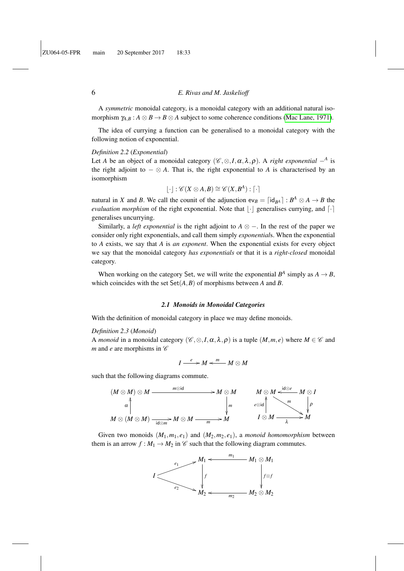A *symmetric* monoidal category, is a monoidal category with an additional natural isomorphism  $\gamma_{AB}: A \otimes B \to B \otimes A$  subject to some coherence conditions [\(Mac Lane, 1971\)](#page-39-3).

The idea of currying a function can be generalised to a monoidal category with the following notion of exponential.

#### *Definition 2.2* (*Exponential*)

Let *A* be an object of a monoidal category  $(\mathscr{C}, \otimes, I, \alpha, \lambda, \rho)$ . A *right exponential*  $-$ <sup>*A*</sup> is the right adjoint to  $-\otimes A$ . That is, the right exponential to *A* is characterised by an isomorphism

$$
[\cdot]:\mathscr{C}(X\otimes A,B)\cong\mathscr{C}(X,B^{A}):\lceil\cdot\rceil
$$

natural in *X* and *B*. We call the counit of the adjunction  $ev_B = \lfloor id_{B^A} \rfloor : B^A \otimes A \rightarrow B$  the *evaluation morphism* of the right exponential. Note that  $|\cdot|$  generalises currying, and  $\lceil \cdot \rceil$ generalises uncurrying.

Similarly, a *left exponential* is the right adjoint to  $A \otimes -$ . In the rest of the paper we consider only right exponentials, and call them simply *exponential*s. When the exponential to *A* exists, we say that *A* is *an exponent*. When the exponential exists for every object we say that the monoidal category *has exponentials* or that it is a *right-closed* monoidal category.

When working on the category Set, we will write the exponential  $B^A$  simply as  $A \to B$ , which coincides with the set  $Set(A, B)$  of morphisms between *A* and *B*.

#### *2.1 Monoids in Monoidal Categories*

With the definition of monoidal category in place we may define monoids.

#### *Definition 2.3* (*Monoid*)

A *monoid* in a monoidal category  $(\mathscr{C}, \otimes, I, \alpha, \lambda, \rho)$  is a tuple  $(M, m, e)$  where  $M \in \mathscr{C}$  and *m* and *e* are morphisms in  $\mathscr C$ 

$$
I\stackrel{e}{\longrightarrow} M\stackrel{m}{\longleftarrow} M\otimes M
$$

such that the following diagrams commute.



Given two monoids  $(M_1, m_1, e_1)$  and  $(M_2, m_2, e_1)$ , a *monoid homomorphism* between them is an arrow  $f : M_1 \to M_2$  in  $\mathcal C$  such that the following diagram commutes.

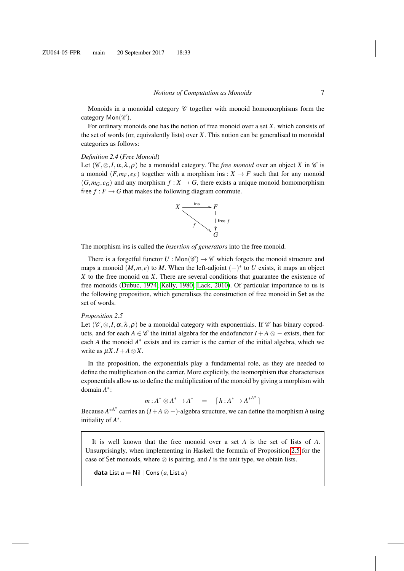Monoids in a monoidal category  $\mathscr C$  together with monoid homomorphisms form the category  $Mon(\mathscr{C})$ .

For ordinary monoids one has the notion of free monoid over a set *X*, which consists of the set of words (or, equivalently lists) over *X*. This notion can be generalised to monoidal categories as follows:

#### *Definition 2.4* (*Free Monoid*)

Let  $(\mathscr{C}, \otimes, I, \alpha, \lambda, \rho)$  be a monoidal category. The *free monoid* over an object *X* in  $\mathscr{C}$  is a monoid  $(F, m_F, e_F)$  together with a morphism ins :  $X \to F$  such that for any monoid  $(G, m_G, e_G)$  and any morphism  $f: X \to G$ , there exists a unique monoid homomorphism free  $f : F \to G$  that makes the following diagram commute.



The morphism ins is called the *insertion of generators* into the free monoid.

There is a forgetful functor  $U : \text{Mon}(\mathscr{C}) \to \mathscr{C}$  which forgets the monoid structure and maps a monoid  $(M,m,e)$  to M. When the left-adjoint  $(-)^*$  to U exists, it maps an object *X* to the free monoid on *X*. There are several conditions that guarantee the existence of free monoids [\(Dubuc, 1974;](#page-38-9) [Kelly, 1980;](#page-38-10) [Lack, 2010\)](#page-38-11). Of particular importance to us is the following proposition, which generalises the construction of free monoid in Set as the set of words.

#### <span id="page-6-0"></span>*Proposition 2.5*

Let  $(\mathscr{C}, \otimes, I, \alpha, \lambda, \rho)$  be a monoidal category with exponentials. If  $\mathscr{C}$  has binary coproducts, and for each *A* ∈  $\mathscr C$  the initial algebra for the endofunctor *I* + *A* ⊗ − exists, then for each *A* the monoid *A*<sup>∗</sup> exists and its carrier is the carrier of the initial algebra, which we write as  $\mu X \cdot I + A \otimes X$ .

In the proposition, the exponentials play a fundamental role, as they are needed to define the multiplication on the carrier. More explicitly, the isomorphism that characterises exponentials allow us to define the multiplication of the monoid by giving a morphism with domain *A* ∗ :

$$
m: A^* \otimes A^* \to A^* = [h: A^* \to A^{*A^*}]
$$

Because  $A^{*A^*}$  carries an  $(I + A \otimes -)$ -algebra structure, we can define the morphism *h* using initiality of *A* ∗ .

It is well known that the free monoid over a set *A* is the set of lists of *A*. Unsurprisingly, when implementing in Haskell the formula of Proposition [2.5](#page-6-0) for the case of Set monoids, where  $\otimes$  is pairing, and *I* is the unit type, we obtain lists.

data List  $a =$  Nil | Cons  $(a,$  List  $a)$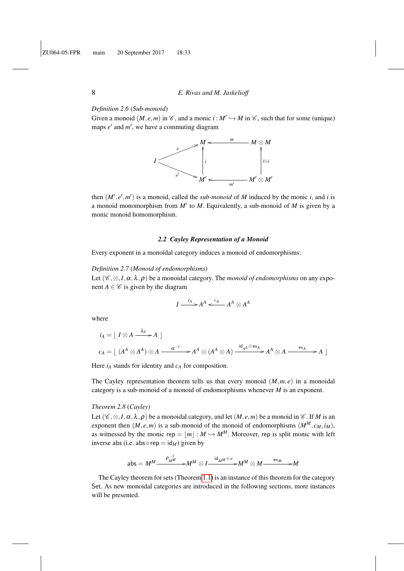#### *Definition 2.6* (*Sub-monoid*)

Given a monoid  $(M, e, m)$  in  $\mathcal{C}$ , and a monic  $i : M' \hookrightarrow M$  in  $\mathcal{C}$ , such that for some (unique) maps  $e'$  and  $m'$ , we have a commuting diagram



then  $(M', e', m')$  is a monoid, called the *sub-monoid* of *M* induced by the monic *i*, and *i* is a monoid monomorphism from  $M'$  to  $M$ . Equivalently, a sub-monoid of  $M$  is given by a monic monoid homomorphism.

#### *2.2 Cayley Representation of a Monoid*

Every exponent in a monoidal category induces a monoid of endomorphisms:

#### *Definition 2.7* (*Monoid of endomorphisms*)

Let  $(\mathscr{C}, \otimes, I, \alpha, \lambda, \rho)$  be a monoidal category. The *monoid of endomorphisms* on any exponent  $A \in \mathscr{C}$  is given by the diagram

$$
I \xrightarrow{i_A} A^A \xleftarrow{c_A} A^A \otimes A^A
$$

where

$$
i_A = [I \otimes A \xrightarrow{\lambda_A} A]
$$
  

$$
c_A = [ (A^A \otimes A^A) \otimes A \xrightarrow{\alpha^{-1}} A^A \otimes (A^A \otimes A) \xrightarrow{id_{A^A} \otimes ev_A} A^A \otimes A \xrightarrow{ev_A} A ]
$$

Here  $i_A$  stands for identity and  $c_A$  for composition.

The Cayley representation theorem tells us that every monoid  $(M,m,e)$  in a monoidal category is a sub-monoid of a monoid of endomorphisms whenever *M* is an exponent.

#### <span id="page-7-0"></span>*Theorem 2.8* (*Cayley*)

Let  $(\mathscr{C}, \otimes, I, \alpha, \lambda, \rho)$  be a monoidal category, and let  $(M, e, m)$  be a monoid in  $\mathscr{C}$ . If M is an exponent then  $(M, e, m)$  is a sub-monoid of the monoid of endomorphisms  $(M^M, c_M, i_M)$ , as witnessed by the monic rep =  $|m| : M \hookrightarrow M^M$ . Moreover, rep is split monic with left inverse abs (i.e. abs  $\circ$  rep = id<sub>*M*</sub>) given by

$$
\mathsf{abs} = M^M \frac{\rho_{M^M}^{-1}}{\longrightarrow} M^M \otimes I \frac{\mathsf{id}_M M \otimes e}{\longrightarrow} M^M \otimes M \frac{\mathsf{ev}_M}{\longrightarrow} M
$$

The Cayley theorem for sets (Theorem [1.1\)](#page-3-1) is an instance of this theorem for the category Set. As new monoidal categories are introduced in the following sections, more instances will be presented.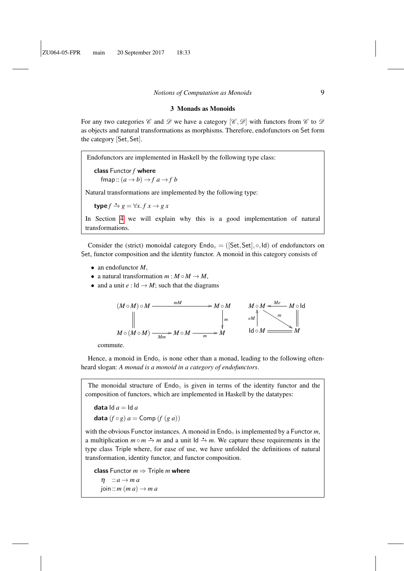#### 3 Monads as Monoids

<span id="page-8-0"></span>For any two categories  $\mathscr C$  and  $\mathscr D$  we have a category  $[\mathscr C,\mathscr D]$  with functors from  $\mathscr C$  to  $\mathscr D$ as objects and natural transformations as morphisms. Therefore, endofunctors on Set form the category [Set,Set].

Endofunctors are implemented in Haskell by the following type class:

class Functor *f* where  $fmap::(a \rightarrow b) \rightarrow f a \rightarrow f b$ 

Natural transformations are implemented by the following type:

 $\t**type** f \stackrel{\bullet}{\rightarrow} g = \forall x. f x \rightarrow g x$ 

In Section [4](#page-12-0) we will explain why this is a good implementation of natural transformations.

Consider the (strict) monoidal category  $\text{End}_{\mathcal{O}} = (\text{[Set}, \text{Set}], \circ, \text{Id})$  of endofunctors on Set, functor composition and the identity functor. A monoid in this category consists of

- an endofunctor *M*,
- a natural transformation  $m : M \circ M \to M$ ,
- and a unit  $e : \mathsf{Id} \to M$ ; such that the diagrams



commute.

Hence, a monoid in Endo<sub>○</sub> is none other than a monad, leading to the following oftenheard slogan: *A monad is a monoid in a category of endofunctors*.

The monoidal structure of  $Endo<sub>o</sub>$  is given in terms of the identity functor and the composition of functors, which are implemented in Haskell by the datatypes:

data  $\text{Id } a = \text{Id } a$ data  $(f \circ g)$   $a =$  Comp  $(f (g a))$ 

with the obvious Functor instances. A monoid in Endo<sub>○</sub> is implemented by a Functor *m*, a multiplication  $m \circ m \to m$  and a unit Id  $\to m$ . We capture these requirements in the type class Triple where, for ease of use, we have unfolded the definitions of natural transformation, identity functor, and functor composition.

class Functor  $m \Rightarrow$  Triple *m* where  $\eta$  :: *a*  $\rightarrow$  *m a*  $\varphi$ ioin :: *m* (*m a*)  $\rightarrow$  *m a*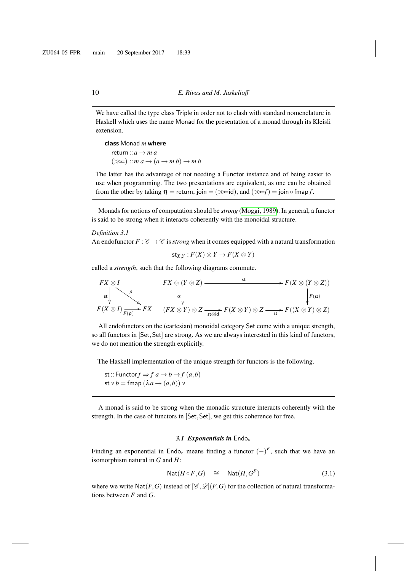We have called the type class Triple in order not to clash with standard nomenclature in Haskell which uses the name Monad for the presentation of a monad through its Kleisli extension.

class Monad *m* where return ::  $a \rightarrow m a$  $(\ggg)$  :: *m*  $a \rightarrow (a \rightarrow m b) \rightarrow m b$ 

The latter has the advantage of not needing a Functor instance and of being easier to use when programming. The two presentations are equivalent, as one can be obtained from the other by taking  $\eta$  = return, join = ( $\gg$ =id), and ( $\gg$ =f) = join  $\circ$  fmap *f*.

Monads for notions of computation should be *strong* [\(Moggi, 1989\)](#page-39-0). In general, a functor is said to be strong when it interacts coherently with the monoidal structure.

### <span id="page-9-2"></span>*Definition 3.1*

An endofunctor  $F: \mathscr{C} \to \mathscr{C}$  is *strong* when it comes equipped with a natural transformation

$$
\mathsf{st}_{X,Y} : F(X) \otimes Y \to F(X \otimes Y)
$$

called a *strength*, such that the following diagrams commute.

$$
FX \otimes I
$$
  
\n
$$
F(X \otimes (Y \otimes Z))
$$
\n
$$
\xrightarrow{\star} F(X \otimes (Y \otimes Z))
$$
\n
$$
F(X \otimes I) \xrightarrow{\rho} FX
$$
\n
$$
(FX \otimes Y) \otimes Z \xrightarrow{\star \text{st} \otimes id} F(X \otimes Y) \otimes Z \xrightarrow{\star} F((X \otimes Y) \otimes Z)
$$

All endofunctors on the (cartesian) monoidal category Set come with a unique strength, so all functors in [Set,Set] are strong. As we are always interested in this kind of functors, we do not mention the strength explicitly.

The Haskell implementation of the unique strength for functors is the following. st:: Functor  $f \Rightarrow f a \rightarrow b \rightarrow f (a, b)$ st *v*  $b =$  fmap  $(\lambda a \rightarrow (a,b))$  *v* 

A monad is said to be strong when the monadic structure interacts coherently with the strength. In the case of functors in [Set,Set], we get this coherence for free.

### 3.1 Exponentials in Endo<sub>o</sub>

<span id="page-9-1"></span>Finding an exponential in Endo<sub></sub> means finding a functor  $(-)^F$ , such that we have an isomorphism natural in *G* and *H*:

<span id="page-9-0"></span>
$$
Nat(H \circ F, G) \cong Nat(H, GF)
$$
\n(3.1)

where we write  $\text{Nat}(F, G)$  instead of  $[\mathscr{C}, \mathscr{D}](F, G)$  for the collection of natural transformations between *F* and *G*.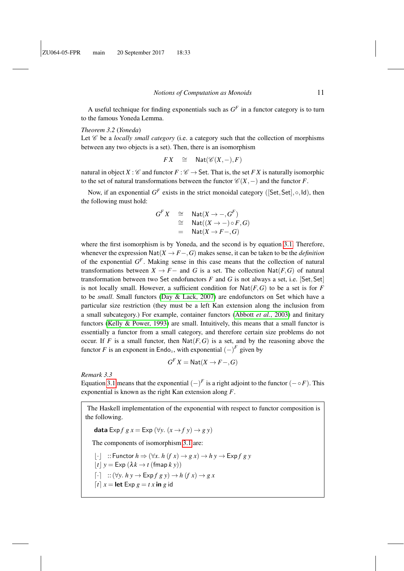A useful technique for finding exponentials such as  $G<sup>F</sup>$  in a functor category is to turn to the famous Yoneda Lemma.

## *Theorem 3.2* (*Yoneda*)

Let  $\mathscr C$  be a *locally small category* (i.e. a category such that the collection of morphisms between any two objects is a set). Then, there is an isomorphism

$$
FX \quad \cong \quad \mathsf{Nat}(\mathscr{C}(X,-),F)
$$

natural in object *X* :  $\mathcal C$  and functor  $F : \mathcal C \to$  Set. That is, the set *F X* is naturally isomorphic to the set of natural transformations between the functor  $\mathcal{C}(X, -)$  and the functor *F*.

Now, if an exponential  $G^F$  exists in the strict monoidal category ([Set, Set],  $\circ$ , Id), then the following must hold:

$$
GFX \cong Nat(X \to -, GF)
$$
  
\n
$$
\cong Nat(X \to -) \circ F, G)
$$
  
\n
$$
= Nat(X \to F-, G)
$$

where the first isomorphism is by Yoneda, and the second is by equation [3.1.](#page-9-0) Therefore, whenever the expression  $\text{Nat}(X \to F \to G)$  makes sense, it can be taken to be the *definition* of the exponential *G F* . Making sense in this case means that the collection of natural transformations between  $X \to F-$  and *G* is a set. The collection  $\text{Nat}(F, G)$  of natural transformation between two Set endofunctors  $F$  and  $G$  is not always a set, i.e. [Set, Set] is not locally small. However, a sufficient condition for  $\text{Nat}(F, G)$  to be a set is for *F* to be *small*. Small functors [\(Day & Lack, 2007\)](#page-38-12) are endofunctors on Set which have a particular size restriction (they must be a left Kan extension along the inclusion from a small subcategory.) For example, container functors [\(Abbott](#page-37-3) *et al.*, 2003) and finitary functors [\(Kelly & Power, 1993\)](#page-38-13) are small. Intuitively, this means that a small functor is essentially a functor from a small category, and therefore certain size problems do not occur. If *F* is a small functor, then  $\text{Nat}(F, G)$  is a set, and by the reasoning above the functor *F* is an exponent in Endo<sub>○</sub>, with exponential  $(-)^F$  given by

$$
G^F X = \text{Nat}(X \to F \text{--}, G)
$$

*Remark 3.3*

Equation [3.1](#page-9-0) means that the exponential  $(-)^F$  is a right adjoint to the functor  $(- \circ F)$ . This exponential is known as the right Kan extension along *F*.

The Haskell implementation of the exponential with respect to functor composition is the following.

data Exp  $f g x = Exp (\forall y. (x \rightarrow f y) \rightarrow g y)$ 

The components of isomorphism [3.1](#page-9-0) are:

b·c ::Functor *h* ⇒ (∀*x*. *h* (*f x*) → *g x*) → *h y* → Exp *f g y*

$$
\lfloor t \rfloor y = \text{Exp}(\lambda k \to t \text{ (fmap } k \text{ y)})
$$

$$
\lceil \cdot \rceil \quad :: (\forall y. \; h \; y \to \mathsf{Exp} f \; g \; y) \to h \; (f \; x) \to g \; x
$$

 $\lceil t \rceil$  *x* = **let** Exp *g* = *t x* **in** *g* id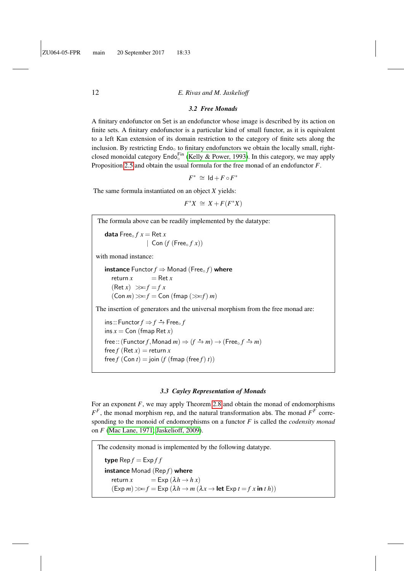#### *3.2 Free Monads*

A finitary endofunctor on Set is an endofunctor whose image is described by its action on finite sets. A finitary endofunctor is a particular kind of small functor, as it is equivalent to a left Kan extension of its domain restriction to the category of finite sets along the inclusion. By restricting  $End_0$  to finitary endofunctors we obtain the locally small, rightclosed monoidal category  $\text{End}_\circ^{\text{Fin}}$  [\(Kelly & Power, 1993\)](#page-38-13). In this category, we may apply Proposition [2.5](#page-6-0) and obtain the usual formula for the free monad of an endofunctor *F*.

$$
F^* \,\cong\, \mathrm{Id} + F \circ F^*
$$

The same formula instantiated on an object *X* yields:

 $F^*X \cong X + F(F^*X)$ 

#### *3.3 Cayley Representation of Monads*

For an exponent *F*, we may apply Theorem [2.8](#page-7-0) and obtain the monad of endomorphisms  $F^F$ , the monad morphism rep, and the natural transformation abs. The monad  $F^F$  corresponding to the monoid of endomorphisms on a functor *F* is called the *codensity monad* on *F* [\(Mac Lane, 1971;](#page-39-3) [Jaskelioff, 2009\)](#page-38-14).

The codensity monad is implemented by the following datatype. type  $\text{Rep } f = \text{Exp } f f$ instance Monad (Rep *f*) where return  $x = \text{Exp} (\lambda h \rightarrow h x)$  $(Exp \, m) \gg f = Exp (\lambda h \rightarrow m (\lambda x \rightarrow let Exp t = f x in t h))$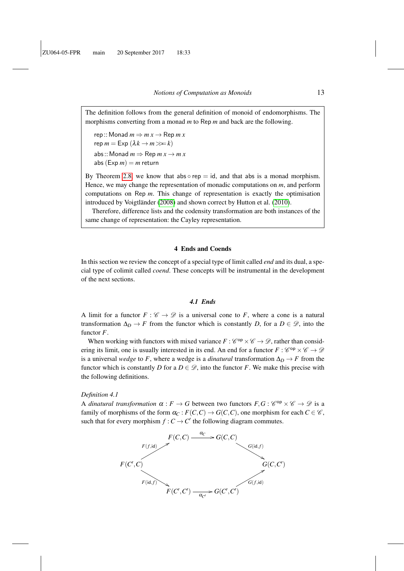The definition follows from the general definition of monoid of endomorphisms. The morphisms converting from a monad *m* to Rep *m* and back are the following.

 $rep::$ Monad  $m \Rightarrow mx \rightarrow$  Rep  $m x$  $rep m = Exp (\lambda k \rightarrow m \gg k)$ abs:: Monad  $m \Rightarrow$  Rep  $m x \rightarrow m x$ abs  $(Exp m) = m$  return

By Theorem [2.8,](#page-7-0) we know that abs  $\circ$  rep = id, and that abs is a monad morphism. Hence, we may change the representation of monadic computations on *m*, and perform computations on Rep *m*. This change of representation is exactly the optimisation introduced by Voigtländer [\(2008\)](#page-39-6) and shown correct by Hutton et al. [\(2010\)](#page-38-6).

Therefore, difference lists and the codensity transformation are both instances of the same change of representation: the Cayley representation.

#### 4 Ends and Coends

<span id="page-12-0"></span>In this section we review the concept of a special type of limit called *end* and its dual, a special type of colimit called *coend*. These concepts will be instrumental in the development of the next sections.

#### *4.1 Ends*

A limit for a functor  $F : \mathscr{C} \to \mathscr{D}$  is a universal cone to F, where a cone is a natural transformation  $\Delta_D \to F$  from the functor which is constantly *D*, for a  $D \in \mathscr{D}$ , into the functor *F*.

When working with functors with mixed variance  $F : \mathscr{C}^{op} \times \mathscr{C} \to \mathscr{D}$ , rather than considering its limit, one is usually interested in its end. An end for a functor  $F: \mathcal{C}^{\text{op}} \times \mathcal{C} \to \mathcal{D}$ is a universal *wedge* to *F*, where a wedge is a *dinatural* transformation  $\Delta_D \rightarrow F$  from the functor which is constantly *D* for a  $D \in \mathcal{D}$ , into the functor *F*. We make this precise with the following definitions.

#### *Definition 4.1*

A *dinatural transformation*  $\alpha : F \to G$  between two functors  $F, G : C^{\text{op}} \times C \to \mathcal{D}$  is a family of morphisms of the form  $\alpha_C : F(C, C) \to G(C, C)$ , one morphism for each  $C \in \mathcal{C}$ , such that for every morphism  $f : C \to C'$  the following diagram commutes.

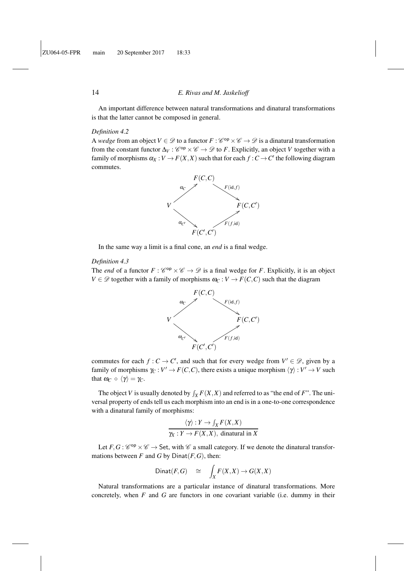An important difference between natural transformations and dinatural transformations is that the latter cannot be composed in general.

#### *Definition 4.2*

A *wedge* from an object  $V \in \mathcal{D}$  to a functor  $F : \mathcal{C}^{op} \times \mathcal{C} \to \mathcal{D}$  is a dinatural transformation from the constant functor  $\Delta_V : \mathscr{C}^{\text{op}} \times \mathscr{C} \to \mathscr{D}$  to *F*. Explicitly, an object *V* together with a family of morphisms  $\alpha_X : V \to F(X,X)$  such that for each  $f : C \to C'$  the following diagram commutes.



In the same way a limit is a final cone, an *end* is a final wedge.

#### *Definition 4.3*

The *end* of a functor  $F: \mathcal{C}^{op} \times \mathcal{C} \to \mathcal{D}$  is a final wedge for *F*. Explicitly, it is an object *V*  $\in \mathcal{D}$  together with a family of morphisms  $\omega_C : V \to F(C, C)$  such that the diagram



commutes for each  $f: C \to C'$ , and such that for every wedge from  $V' \in \mathcal{D}$ , given by a family of morphisms  $\gamma_C : V' \to F(C, C)$ , there exists a unique morphism  $\langle \gamma \rangle : V' \to V$  such that  $\omega_C \circ \langle \gamma \rangle = \gamma_C$ .

The object *V* is usually denoted by  $\int_X F(X,X)$  and referred to as "the end of *F*". The universal property of ends tell us each morphism into an end is in a one-to-one correspondence with a dinatural family of morphisms:

$$
\frac{\langle \gamma \rangle : Y \to \int_X F(X,X)}{\gamma_X : Y \to F(X,X), \text{ dinatrall in } X}
$$

Let  $F, G: \mathcal{C}^{op} \times \mathcal{C} \to$  Set, with  $\mathcal{C}$  a small category. If we denote the dinatural transformations between  $F$  and  $G$  by Dinat $(F, G)$ , then:

$$
Dinat(F,G) \quad \cong \quad \int_X F(X,X) \to G(X,X)
$$

Natural transformations are a particular instance of dinatural transformations. More concretely, when *F* and *G* are functors in one covariant variable (i.e. dummy in their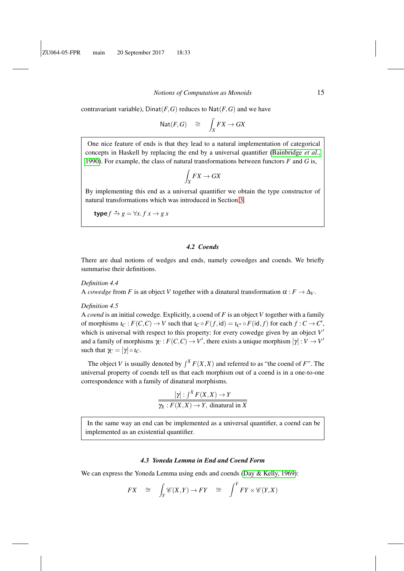contravariant variable),  $D$ inat $(F, G)$  reduces to  $N$ at $(F, G)$  and we have

$$
\mathrm{Nat}(F,G) \quad \cong \quad \int_X FX \to GX
$$

One nice feature of ends is that they lead to a natural implementation of categorical concepts in Haskell by replacing the end by a universal quantifier [\(Bainbridge](#page-37-4) *et al.*, [1990\)](#page-37-4). For example, the class of natural transformations between functors *F* and *G* is,

$$
\int_X FX \to GX
$$

By implementing this end as a universal quantifier we obtain the type constructor of natural transformations which was introduced in Section [3.](#page-8-0)

$$
type f \stackrel{\bullet}{\rightarrow} g = \forall x. f x \rightarrow g x
$$

## *4.2 Coends*

There are dual notions of wedges and ends, namely cowedges and coends. We briefly summarise their definitions.

#### *Definition 4.4*

A *cowedge* from *F* is an object *V* together with a dinatural transformation  $\alpha : F \to \Delta_V$ .

#### *Definition 4.5*

A *coend* is an initial cowedge. Explicitly, a coend of *F* is an object *V* together with a family of morphisms  $\iota_C : F(C, C) \to V$  such that  $\iota_C \circ F(f, id) = \iota_{C'} \circ F(id, f)$  for each  $f : C \to C'$ , which is universal with respect to this property: for every cowedge given by an object V<sup>'</sup> and a family of morphisms  $\gamma_C : F(C, C) \to V'$ , there exists a unique morphism  $[\gamma] : V \to V'$ such that  $\gamma_C = [\gamma] \circ \iota_C$ .

The object *V* is usually denoted by  $\int^X F(X,X)$  and referred to as "the coend of *F*". The universal property of coends tell us that each morphism out of a coend is in a one-to-one correspondence with a family of dinatural morphisms.

$$
\frac{[\gamma]:\int^X F(X,X) \to Y}{\gamma_X: F(X,X) \to Y, \text{ dinatural in } X}
$$

In the same way an end can be implemented as a universal quantifier, a coend can be implemented as an existential quantifier.

#### *4.3 Yoneda Lemma in End and Coend Form*

We can express the Yoneda Lemma using ends and coends [\(Day & Kelly, 1969\)](#page-38-15):

$$
FX \cong \int_Y \mathscr{C}(X,Y) \to FY \cong \int^Y FY \times \mathscr{C}(Y,X)
$$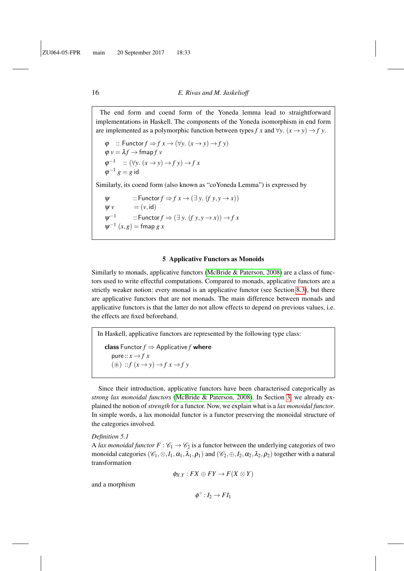The end form and coend form of the Yoneda lemma lead to straightforward implementations in Haskell. The components of the Yoneda isomorphism in end form are implemented as a polymorphic function between types *f* x and  $\forall y$ .  $(x \rightarrow y) \rightarrow f y$ .

$$
\varphi :: \text{Function } f \Rightarrow f x \to (\forall y. (x \to y) \to f y)
$$
  

$$
\varphi v = \lambda f \to \text{fmap } f v
$$
  

$$
\varphi^{-1} :: (\forall y. (x \to y) \to f y) \to f x
$$
  

$$
\varphi^{-1} g = g \text{ id}
$$

Similarly, its coend form (also known as "coYoneda Lemma") is expressed by

$$
\psi ::\text{Function } f \Rightarrow f x \rightarrow (\exists y. (f y, y \rightarrow x))
$$
  
\n
$$
\psi v = (v, id)
$$
  
\n
$$
\psi^{-1} ::\text{Function } f \Rightarrow (\exists y. (f y, y \rightarrow x)) \rightarrow f x
$$
  
\n
$$
\psi^{-1} (x, g) = \text{fmap } g x
$$

#### 5 Applicative Functors as Monoids

<span id="page-15-0"></span>Similarly to monads, applicative functors [\(McBride & Paterson, 2008\)](#page-39-2) are a class of functors used to write effectful computations. Compared to monads, applicative functors are a strictly weaker notion: every monad is an applicative functor (see Section [8.3\)](#page-31-0), but there are applicative functors that are not monads. The main difference between monads and applicative functors is that the latter do not allow effects to depend on previous values, i.e. the effects are fixed beforehand.

In Haskell, applicative functors are represented by the following type class: class Functor  $f \Rightarrow$  Applicative  $f$  where pure ::  $x \rightarrow f x$  $(\circledast) :: f(x \rightarrow y) \rightarrow f x \rightarrow f y$ 

Since their introduction, applicative functors have been characterised categorically as *strong lax monoidal functors* [\(McBride & Paterson, 2008\)](#page-39-2). In Section [3,](#page-8-0) we already explained the notion of*strength* for a functor. Now, we explain what is a *lax monoidal functor*. In simple words, a lax monoidal functor is a functor preserving the monoidal structure of the categories involved.

#### <span id="page-15-1"></span>*Definition 5.1*

A *lax monoidal functor*  $F : \mathcal{C}_1 \to \mathcal{C}_2$  is a functor between the underlying categories of two monoidal categories  $(\mathscr{C}_1, \otimes, I_1, \alpha_1, \lambda_1, \rho_1)$  and  $(\mathscr{C}_2, \oplus, I_2, \alpha_2, \lambda_2, \rho_2)$  together with a natural transformation

$$
\phi_{X,Y}: FX\oplus FY\to F(X\otimes Y)
$$

and a morphism

 $\phi^{\circ}: I_2 \to FI_1$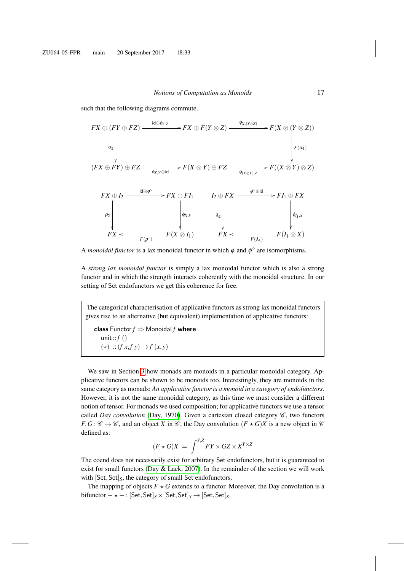such that the following diagrams commute.



A *monoidal functor* is a lax monoidal functor in which  $\phi$  and  $\phi^{\circ}$  are isomorphisms.

A *strong lax monoidal functor* is simply a lax monoidal functor which is also a strong functor and in which the strength interacts coherently with the monoidal structure. In our setting of Set endofunctors we get this coherence for free.

The categorical characterisation of applicative functors as strong lax monoidal functors gives rise to an alternative (but equivalent) implementation of applicative functors:

class Functor  $f \Rightarrow$  Monoidal  $f$  where unit::*f* ()  $(\star)$  ::(*f x*,*f y*)  $\rightarrow$  *f* (*x*, *y*)

We saw in Section [3](#page-8-0) how monads are monoids in a particular monoidal category. Applicative functors can be shown to be monoids too. Interestingly, they are monoids in the same category as monads: *An applicative functor is a monoid in a category of endofunctors*. However, it is not the same monoidal category, as this time we must consider a different notion of tensor. For monads we used composition; for applicative functors we use a tensor called *Day convolution* [\(Day, 1970\)](#page-38-3). Given a cartesian closed category  $\mathscr{C}$ , two functors  $F, G: \mathscr{C} \to \mathscr{C}$ , and an object *X* in  $\mathscr{C}$ , the Day convolution  $(F \star G)X$  is a new object in  $\mathscr{C}$ defined as:

$$
(F \star G)X = \int^{Y,Z} FY \times GZ \times X^{Y \times Z}
$$

The coend does not necessarily exist for arbitrary Set endofunctors, but it is guaranteed to exist for small functors [\(Day & Lack, 2007\)](#page-38-12). In the remainder of the section we will work with  $[Set,Set]_S$ , the category of small Set endofunctors.

The mapping of objects  $F \star G$  extends to a functor. Moreover, the Day convolution is a  $\text{bifunctor} - \star - : [\text{Set}, \text{Set}]_S \times [\text{Set}, \text{Set}]_S \rightarrow [\text{Set}, \text{Set}]_S.$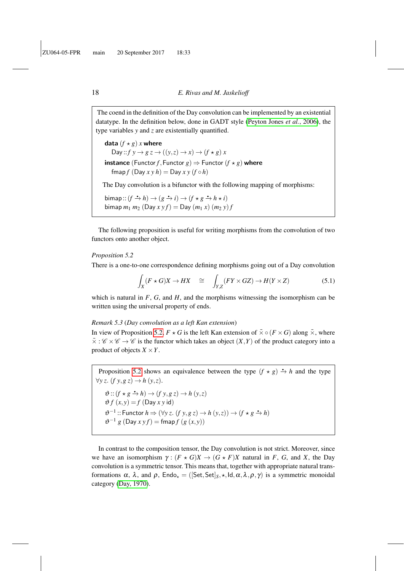The coend in the definition of the Day convolution can be implemented by an existential datatype. In the definition below, done in GADT style [\(Peyton Jones](#page-39-7) *et al.*, 2006), the type variables *y* and *z* are existentially quantified.

data  $(f \star g)$  *x* where Day ::  $f y \rightarrow g z \rightarrow ((y, z) \rightarrow x) \rightarrow (f * g) x$ **instance** (Functor *f*, Functor *g*)  $\Rightarrow$  Functor (*f*  $\times$  *g*) where  $f$  (Day  $x y h$ ) = Day  $x y (f \circ h)$ 

The Day convolution is a bifunctor with the following mapping of morphisms:

 $\text{bimap}: (f \rightarrow h) \rightarrow (g \rightarrow i) \rightarrow (f \star g \rightarrow h \star i)$  $\text{bimap } m_1 m_2 \text{ (Day } x \text{ y } f) = \text{Day} (m_1 x) (m_2 y) f$ 

The following proposition is useful for writing morphisms from the convolution of two functors onto another object.

#### <span id="page-17-0"></span>*Proposition 5.2*

There is a one-to-one correspondence defining morphisms going out of a Day convolution

<span id="page-17-1"></span>
$$
\int_X (F \star G)X \to HX \quad \cong \quad \int_{Y,Z} (FY \times GZ) \to H(Y \times Z) \tag{5.1}
$$

which is natural in  $F$ ,  $G$ , and  $H$ , and the morphisms witnessing the isomorphism can be written using the universal property of ends.

#### *Remark 5.3* (*Day convolution as a left Kan extension*)

In view of Proposition [5.2,](#page-17-0)  $F \star G$  is the left Kan extension of  $\bar{x} \circ (F \times G)$  along  $\bar{x}$ , where  $\bar{\times}$ :  $\mathcal{C} \times \mathcal{C} \rightarrow \mathcal{C}$  is the functor which takes an object  $(X, Y)$  of the product category into a product of objects  $X \times Y$ .

Proposition [5.2](#page-17-0) shows an equivalence between the type  $(f \star g) \rightarrow h$  and the type ∀*y z*. (*f y*,*g z*) → *h* (*y*,*z*).  $\vartheta$  ::  $(f \star g \xrightarrow{\star} h) \to (f y, g z) \to h (y, z)$  $\vartheta f(x, y) = f$  (Day *x y* id)  $\vartheta^{-1}$ :: Functor  $h \Rightarrow (\forall y z. (f y, g z) \rightarrow h (y, z)) \rightarrow (f * g \stackrel{\bullet}{\rightarrow} h)$  $\vartheta^{-1} g$  (Day  $xyf$ ) = fmap  $f$  ( $g(x, y)$ )

In contrast to the composition tensor, the Day convolution is not strict. Moreover, since we have an isomorphism  $\gamma : (F \star G)X \to (G \star F)X$  natural in *F*, *G*, and *X*, the Day convolution is a symmetric tensor. This means that, together with appropriate natural transformations  $\alpha$ ,  $\lambda$ , and  $\rho$ , Endo<sub> $\star$ </sub> = ([Set, Set]<sub>*S*</sub>,  $\star$ , *Id*,  $\alpha$ ,  $\lambda$ ,  $\rho$ ,  $\gamma$ ) is a symmetric monoidal category [\(Day, 1970\)](#page-38-3).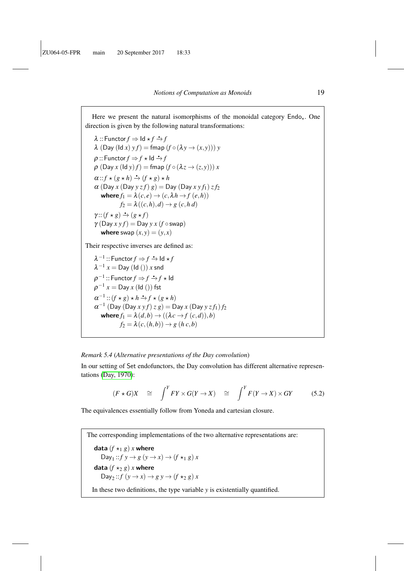Here we present the natural isomorphisms of the monoidal category  $\text{End}_{\mathcal{A}}$ . One direction is given by the following natural transformations:

 $\lambda$  :: Functor  $f \Rightarrow$   $\mathsf{Id} \star f \stackrel{\bullet}{\to} f$  $\lambda$  (Day (Id *x*)  $y f$ ) = fmap  $(f \circ (\lambda y \rightarrow (x, y))) y$  $\rho$  :: Functor  $f \Rightarrow f \star \mathsf{Id} \to f$  $\rho$  (Day *x* (ld *y*)  $f$ ) = fmap  $(f \circ (\lambda z \rightarrow (z, y))) x$  $\alpha :: f \star (g \star h) \stackrel{\bullet}{\to} (f \star g) \star h$  $\alpha$  (Day *x* (Day *y z f*)  $g$ ) = Day (Day *x y f*<sub>1</sub>) *z f*<sub>2</sub> where  $f_1 = \lambda(c, e) \rightarrow (c, \lambda h \rightarrow f(e, h))$  $f_2 = \lambda((c, h), d) \rightarrow g(c, h, d)$  $\gamma$  :: (*f*  $\star$  *g*)  $\stackrel{\bullet}{\to}$  (*g*  $\star$  *f*)  $γ(Day x y f) = Day y x (f ∘ swap)$ where swap  $(x, y) = (y, x)$ 

Their respective inverses are defined as:

 $\lambda^{-1}$  :: Functor  $f \Rightarrow f \stackrel{\bullet}{\to} \mathsf{Id} \star f$  $\lambda^{-1} x = \text{Day} (\text{Id} () ) x$  snd  $\rho^{-1}$  :: Functor  $f \Rightarrow f \stackrel{\bullet}{\to} f \star \mathsf{Id}$  $\rho^{-1}$   $x =$  Day  $x$  (ld ()) fst  $\alpha^{-1}$  ::  $(f \star g) \star h \stackrel{\bullet}{\to} f \star (g \star h)$  $\alpha^{-1}$  (Day (Day  $xyf$ )  $z g$ )  $=$  Day  $x$  (Day  $yz f_1$ )  $f_2$ where  $f_1 = \lambda(d, b) \rightarrow ((\lambda c \rightarrow f(c, d)), b)$  $f_2 = \lambda(c, (h, b)) \rightarrow g (h, c, b)$ 

#### *Remark 5.4* (*Alternative presentations of the Day convolution*)

In our setting of Set endofunctors, the Day convolution has different alternative representations [\(Day, 1970\)](#page-38-3):

<span id="page-18-0"></span>
$$
(F \star G)X \quad \cong \quad \int^T FY \times G(Y \to X) \quad \cong \quad \int^T F(Y \to X) \times GY \tag{5.2}
$$

The equivalences essentially follow from Yoneda and cartesian closure.

The corresponding implementations of the two alternative representations are: data  $(f \star_1 g)$  *x* where Day<sub>1</sub> :: $f y \rightarrow g (y \rightarrow x) \rightarrow (f \star_1 g) x$ data  $(f \star_2 g)$  *x* where Day<sub>2</sub> :: $f(y \rightarrow x) \rightarrow g y \rightarrow (f \star_2 g) x$ In these two definitions, the type variable *y* is existentially quantified.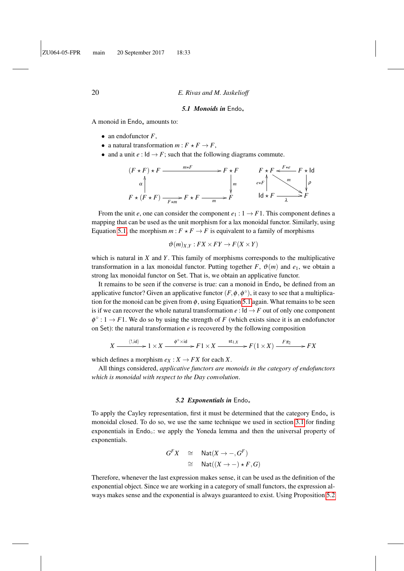#### 5.1 Monoids in Endo<sub>+</sub>

A monoid in  $End_2$  amounts to:

- an endofunctor  $F$ ,
- a natural transformation  $m: F \star F \to F$ ,
- and a unit  $e : \mathsf{Id} \to F$ ; such that the following diagrams commute.

$$
(F \star F) \star F \xrightarrow{\text{max} F} F \star F \xrightarrow{\text{max} F} F \star F
$$
\n
$$
\downarrow m
$$
\n
$$
F \star (F \star F) \xrightarrow{\text{max} F} F \star F \xrightarrow{\text{max} F} F \star F \xrightarrow{\text{max} F} F \star F \xrightarrow{\text{max} F} F \star F
$$
\n
$$
\downarrow m
$$
\n
$$
\downarrow m
$$
\n
$$
\downarrow m
$$
\n
$$
\downarrow m
$$
\n
$$
\downarrow m
$$
\n
$$
\downarrow m
$$
\n
$$
\downarrow m
$$
\n
$$
\downarrow m
$$
\n
$$
\downarrow m
$$
\n
$$
\downarrow m
$$
\n
$$
\downarrow m
$$
\n
$$
\downarrow m
$$
\n
$$
\downarrow m
$$
\n
$$
\downarrow m
$$
\n
$$
\downarrow m
$$
\n
$$
\downarrow m
$$
\n
$$
\downarrow m
$$
\n
$$
\downarrow m
$$
\n
$$
\downarrow m
$$
\n
$$
\downarrow m
$$
\n
$$
\downarrow m
$$
\n
$$
\downarrow m
$$
\n
$$
\downarrow m
$$
\n
$$
\downarrow m
$$
\n
$$
\downarrow m
$$
\n
$$
\downarrow m
$$
\n
$$
\downarrow m
$$

From the unit *e*, one can consider the component  $e_1 : 1 \rightarrow F1$ . This component defines a mapping that can be used as the unit morphism for a lax monoidal functor. Similarly, using Equation [5.1,](#page-17-1) the morphism  $m: F \star F \to F$  is equivalent to a family of morphisms

$$
\vartheta(m)_{X,Y} : FX \times FY \to F(X \times Y)
$$

which is natural in *X* and *Y*. This family of morphisms corresponds to the multiplicative transformation in a lax monoidal functor. Putting together *F*,  $\vartheta(m)$  and  $e_1$ , we obtain a strong lax monoidal functor on Set. That is, we obtain an applicative functor.

It remains to be seen if the converse is true: can a monoid in  $\mathsf{End}_{\mathsf{A}}$  be defined from an applicative functor? Given an applicative functor  $(F, \phi, \phi^{\circ})$ , it easy to see that a multiplication for the monoid can be given from  $\phi$ , using Equation [5.1](#page-17-1) again. What remains to be seen is if we can recover the whole natural transformation  $e : \mathsf{Id} \to F$  out of only one component  $\phi^{\circ}: 1 \rightarrow F1$ . We do so by using the strength of *F* (which exists since it is an endofunctor on Set): the natural transformation *e* is recovered by the following composition

$$
X \xrightarrow{\langle 1, \text{id} \rangle} 1 \times X \xrightarrow{\phi^{\circ} \times \text{id}} F1 \times X \xrightarrow{\text{st}_{1,X}} F(1 \times X) \xrightarrow{F\pi_2} F X
$$

which defines a morphism  $e_X : X \to FX$  for each *X*.

All things considered, *applicative functors are monoids in the category of endofunctors which is monoidal with respect to the Day convolution*.

#### 5.2 Exponentials in Endo<sub>\*</sub>

To apply the Cayley representation, first it must be determined that the category  $\text{End}_{\mathbf{Q}}$  is monoidal closed. To do so, we use the same technique we used in section [3.1](#page-9-1) for finding exponentials in Endo. we apply the Yoneda lemma and then the universal property of exponentials.

$$
G^{F}X \cong \text{Nat}(X \to -, G^{F})
$$
  

$$
\cong \text{Nat}((X \to -) \star F, G)
$$

Therefore, whenever the last expression makes sense, it can be used as the definition of the exponential object. Since we are working in a category of small functors, the expression always makes sense and the exponential is always guaranteed to exist. Using Proposition [5.2](#page-17-0)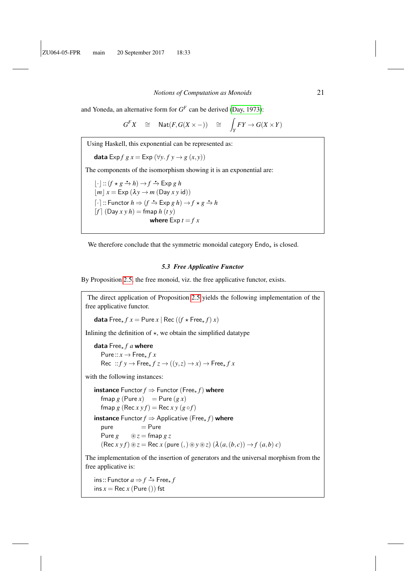and Yoneda, an alternative form for  $G^F$  can be derived [\(Day, 1973\)](#page-38-16):

$$
G^{F}X \quad \cong \quad \text{Nat}(F, G(X \times -)) \quad \cong \quad \int_{Y} FY \to G(X \times Y)
$$

Using Haskell, this exponential can be represented as:

data Exp  $f g x = \text{Exp} (\forall y. f y \rightarrow g (x, y))$ 

The components of the isomorphism showing it is an exponential are:

 $\lfloor \cdot \rfloor$  ::  $(f \star g \stackrel{\bullet}{\to} h) \to f \stackrel{\bullet}{\to} \text{Exp } g h$  $|m|x| \le E \exp (\lambda y \rightarrow m \text{ (Day } x \text{ y id)})$  $\lceil \cdot \rceil$  :: Functor  $h \Rightarrow (f \stackrel{\bullet}{\to} \text{Exp } g h) \to f \star g \stackrel{\bullet}{\to} h$ d*f* e (Day *x y h*) = fmap *h* (*t y*) where  $\text{Exp } t = f x$ 

We therefore conclude that the symmetric monoidal category  $\mathsf{End}_{\mathsf{A}}$  is closed.

## *5.3 Free Applicative Functor*

By Proposition [2.5,](#page-6-0) the free monoid, viz. the free applicative functor, exists.

The direct application of Proposition [2.5](#page-6-0) yields the following implementation of the free applicative functor.

**data** Free<sub>\*</sub>  $f$   $x$  = Pure  $x$  | Rec  $((f \star \text{Free}_{*} f) x)$ 

Inlining the definition of  $\star$ , we obtain the simplified datatype

data Free? *f a* where  $Pure:: x \rightarrow Free_{*} f x$ Rec ::  $f y \rightarrow \text{Free}_{\star} f z \rightarrow ((y, z) \rightarrow x) \rightarrow \text{Free}_{\star} f x$ 

with the following instances:

**instance** Functor  $f \Rightarrow$  Functor (Free, f) where  $fmap g (Pure x) = Pure (gx)$ fmap  $g$  (Rec  $xyf$ ) = Rec  $xy(g \circ f)$ **instance** Functor  $f \Rightarrow$  Applicative (Free<sub> $\star$ </sub>  $f$ ) where  $pure$  = Pure Pure  $g \otimes z =$  fmap  $g z$  $(Rec x y f) \circledast z = Rec x (pure (,) \circledast y \circledast z) (\lambda (a, (b, c)) \rightarrow f (a, b) c)$ 

The implementation of the insertion of generators and the universal morphism from the free applicative is:

 $ins::$  Functor  $a \Rightarrow f \stackrel{\bullet}{\to} \mathsf{Free}_{\star} f$ ins  $x = \text{Rec } x$  (Pure ()) fst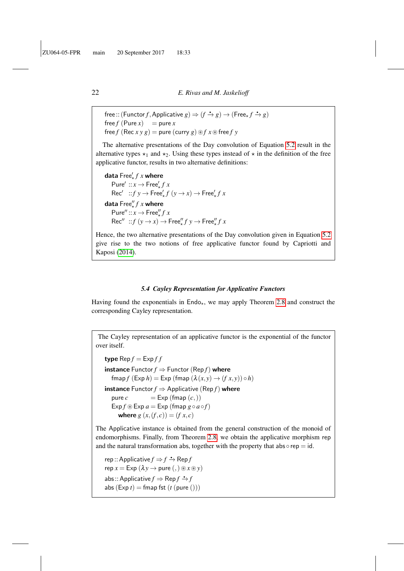```
free::(Function f, Applicative g) \Rightarrow (f \rightarrow g) \rightarrow (Free_{\star} f \rightarrow g)free f (Pure x) = pure xfree f (Rec x y g) = pure (curry g) \mathcal{D}f x\mathcal{D} free f y
```
The alternative presentations of the Day convolution of Equation [5.2](#page-18-0) result in the alternative types  $\star_1$  and  $\star_2$ . Using these types instead of  $\star$  in the definition of the free applicative functor, results in two alternative definitions:

```
\mathsf{data}\ \mathsf{Free}\rule{0pt}{1.5pt}{.} f\ x where
   Pure' :: x \rightarrow Free'_{\star} f x\text{Rec}' ::f y \rightarrow \text{Free'}_{\star} f (y \rightarrow x) \rightarrow \text{Free'}_{\star} f xdata \mathsf{Free}''_\star f x where
   Pure'' :: x \rightarrow Free''_x f x\text{Rec}'' ::f (y \rightarrow x) \rightarrow \text{Free}''_x f y \rightarrow \text{Free}''_x f x
```
Hence, the two alternative presentations of the Day convolution given in Equation [5.2](#page-18-0) give rise to the two notions of free applicative functor found by Capriotti and Kaposi [\(2014\)](#page-37-1).

#### *5.4 Cayley Representation for Applicative Functors*

Having found the exponentials in  $End_{\mathcal{L}_{+}}$ , we may apply Theorem [2.8](#page-7-0) and construct the corresponding Cayley representation.

The Cayley representation of an applicative functor is the exponential of the functor over itself.

**type**  $\text{Rep } f = \text{Exp } ff$ **instance** Functor  $f \Rightarrow$  Functor (Rep  $f$ ) where  $f(\text{Exp } h) = \text{Exp } (\text{fmap } (\lambda(x, y) \rightarrow (f(x, y))) \circ h)$ **instance** Functor  $f \Rightarrow$  Applicative (Rep  $f$ ) where pure  $c = \text{Exp}(f \text{map}(c))$  $\exp f \circledast \exp a = \exp (\text{fmap } g \circ a \circ f)$ **where**  $g(x, (f, c)) = (f x, c)$ 

The Applicative instance is obtained from the general construction of the monoid of endomorphisms. Finally, from Theorem [2.8,](#page-7-0) we obtain the applicative morphism rep and the natural transformation abs, together with the property that  $\text{abs} \circ \text{rep} = \text{id}$ .

 $rep$  :: Applicative  $f \Rightarrow f \stackrel{\bullet}{\to} \mathsf{Rep} f$  $rep x = Exp (\lambda y \rightarrow pure( , ) \circledast x \circledast y)$ abs:: Applicative  $f \Rightarrow \text{Rep } f \xrightarrow{\bullet} f$ abs  $(Exp t) = \text{fmap } \{f(t) \text{ pure }(t)\}\$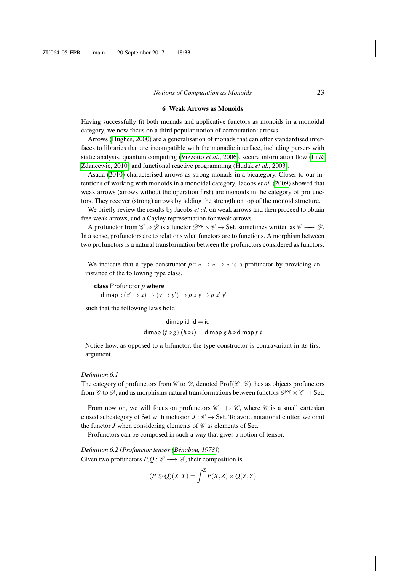#### 6 Weak Arrows as Monoids

<span id="page-22-0"></span>Having successfully fit both monads and applicative functors as monoids in a monoidal category, we now focus on a third popular notion of computation: arrows.

Arrows [\(Hughes, 2000\)](#page-38-0) are a generalisation of monads that can offer standardised interfaces to libraries that are incompatible with the monadic interface, including parsers with static analysis, quantum computing [\(Vizzotto](#page-39-8) *et al.*, 2006), secure information flow [\(Li &](#page-38-17) [Zdancewic, 2010\)](#page-38-17) and functional reactive programming [\(Hudak](#page-38-18) *et al.*, 2003).

Asada [\(2010\)](#page-37-5) characterised arrows as strong monads in a bicategory. Closer to our intentions of working with monoids in a monoidal category, Jacobs *et al.* [\(2009\)](#page-38-1) showed that weak arrows (arrows without the operation first) are monoids in the category of profunctors. They recover (strong) arrows by adding the strength on top of the monoid structure.

We briefly review the results by Jacobs *et al.* on weak arrows and then proceed to obtain free weak arrows, and a Cayley representation for weak arrows.

A profunctor from C to D is a functor  $\mathcal{D}^{op} \times \mathcal{C} \rightarrow$  Set, sometimes written as  $\mathcal{C} \rightarrow \mathcal{D}$ . In a sense, profunctors are to relations what functors are to functions. A morphism between two profunctors is a natural transformation between the profunctors considered as functors.

We indicate that a type constructor  $p::* \to * \to *$  is a profunctor by providing an instance of the following type class.

class Profunctor *p* where dimap::  $(x' \rightarrow x) \rightarrow (y \rightarrow y') \rightarrow p \ x \ y \rightarrow p \ x' \ y'$ 

such that the following laws hold

 $dim$ ap id id  $=$  id

dimap  $(f \circ g)$   $(h \circ i) =$  dimap  $g h \circ$  dimap  $f i$ 

Notice how, as opposed to a bifunctor, the type constructor is contravariant in its first argument.

#### *Definition 6.1*

The category of profunctors from  $\mathscr{C}$  to  $\mathscr{D}$ , denoted Prof $(\mathscr{C}, \mathscr{D})$ , has as objects profunctors from  $\mathscr{C}$  to  $\mathscr{D}$ , and as morphisms natural transformations between functors  $\mathscr{D}^{\mathsf{op}} \times \mathscr{C} \to$  Set.

From now on, we will focus on profunctors  $\mathscr{C} \longrightarrow \mathscr{C}$ , where  $\mathscr{C}$  is a small cartesian closed subcategory of Set with inclusion  $J : \mathscr{C} \to$  Set. To avoid notational clutter, we omit the functor  $J$  when considering elements of  $\mathscr C$  as elements of Set.

Profunctors can be composed in such a way that gives a notion of tensor.

*Definition 6.2 (Profunctor tensor (Bénabou, 1973))* Given two profunctors  $P, Q: \mathscr{C} \longrightarrow \mathscr{C}$ , their composition is

$$
(P \otimes Q)(X,Y) = \int^Z P(X,Z) \times Q(Z,Y)
$$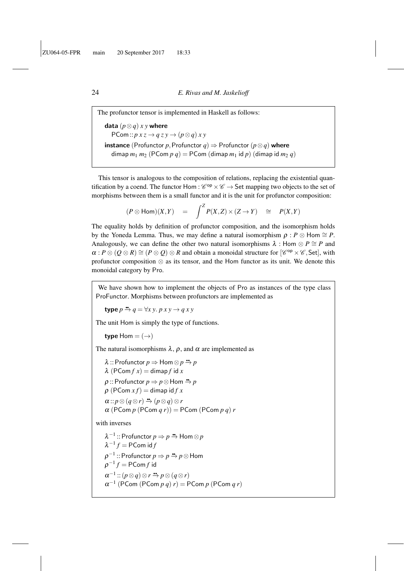The profunctor tensor is implemented in Haskell as follows: data  $(p \otimes q)$  *x y* where  $PCom:: p x z \rightarrow q z y \rightarrow (p \otimes q) x y$ **instance** (Profunctor *p*, Profunctor *q*)  $\Rightarrow$  Profunctor (*p*⊗*q*) where dimap  $m_1 m_2$  (PCom  $p q$ ) = PCom (dimap  $m_1$  id  $p$ ) (dimap id  $m_2 q$ )

This tensor is analogous to the composition of relations, replacing the existential quantification by a coend. The functor  $\text{Hom}: \mathscr{C}^{\text{op}} \times \mathscr{C} \to \text{Set}$  mapping two objects to the set of morphisms between them is a small functor and it is the unit for profunctor composition:

$$
(P \otimes \text{Hom})(X,Y) = \int^Z P(X,Z) \times (Z \to Y) \cong P(X,Y)
$$

The equality holds by definition of profunctor composition, and the isomorphism holds by the Yoneda Lemma. Thus, we may define a natural isomorphism  $\rho : P \otimes \mathsf{Hom} \cong P$ . Analogously, we can define the other two natural isomorphisms  $\lambda$  : Hom  $\otimes P \cong P$  and  $\alpha: P \otimes (Q \otimes R) \cong (P \otimes Q) \otimes R$  and obtain a monoidal structure for  $\lbrack \mathcal{C}^{op} \times \mathcal{C}, Set \rbrack$ , with profunctor composition ⊗ as its tensor, and the Hom functor as its unit. We denote this monoidal category by Pro.

We have shown how to implement the objects of Pro as instances of the type class ProFunctor. Morphisms between profunctors are implemented as

 $\tt type  $p \stackrel{\bullet}{\rightarrow} q = \forall x \ y. p \ x \ y \rightarrow q \ x \ y$$ 

The unit Hom is simply the type of functions.

type Hom  $= (\rightarrow)$ 

The natural isomorphisms  $\lambda$ ,  $\rho$ , and  $\alpha$  are implemented as

 $\lambda$  :: Profunctor  $p \Rightarrow$  Hom  $\otimes p \stackrel{a}{\rightarrow} p$  $\lambda$  (PCom  $f(x) =$ dimap  $f$  id  $x$  $\rho$  :: Profunctor  $p \Rightarrow p \otimes$  Hom  $\Rightarrow p$  $\rho$  (PCom  $xf$ ) = dimap id  $f x$  $\alpha$  ::  $p \otimes (q \otimes r) \stackrel{a}{\rightarrow} (p \otimes q) \otimes r$  $\alpha$  (PCom  $p$  (PCom  $q$   $r$ )) = PCom (PCom  $p$   $q$ )  $r$ 

with inverses

 $λ^{-1}$  :: Profunctor  $p ⇒ p$  <del>≒</del> Hom ⊗  $p$  $\lambda^{-1} f = \mathsf{PCom}$  id  $f$  $\rho^{-1}$  :: Profunctor  $p ⇒ p$  <u>↔</u>  $p$ ⊗ Hom  $\rho^{-1}f = \mathsf{PCom} f$  id  $\alpha^{-1}$  ::  $(p \otimes q) \otimes r \stackrel{a}{\rightarrow} p \otimes (q \otimes r)$  $\alpha^{-1}$  (PCom (PCom  $p$   $q$ )  $r$ ) = PCom  $p$  (PCom  $q$   $r$ )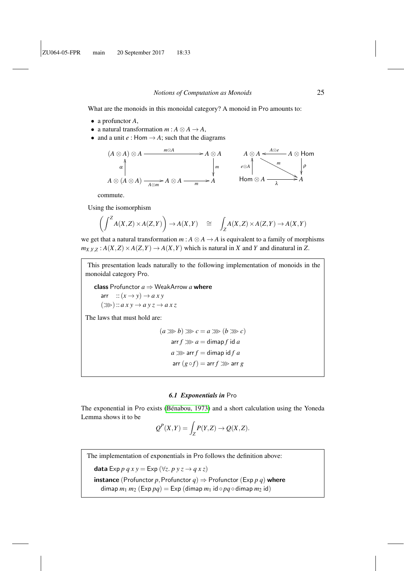What are the monoids in this monoidal category? A monoid in Pro amounts to:

- a profunctor *A*,
- a natural transformation  $m : A \otimes A \rightarrow A$ ,
- and a unit  $e :$  Hom  $\rightarrow$  *A*; such that the diagrams



commute.

Using the isomorphism

$$
\left(\int^Z A(X,Z) \times A(Z,Y)\right) \to A(X,Y) \quad \cong \quad \int_Z A(X,Z) \times A(Z,Y) \to A(X,Y)
$$

we get that a natural transformation  $m : A \otimes A \rightarrow A$  is equivalent to a family of morphisms  $m_{X,Y,Z}: A(X,Z) \times A(Z,Y) \rightarrow A(X,Y)$  which is natural in *X* and *Y* and dinatural in *Z*.

This presentation leads naturally to the following implementation of monoids in the monoidal category Pro.

class Profunctor *a* ⇒ WeakArrow *a* where arr  $::(x \rightarrow y) \rightarrow axy$  $(\ggg)$ : *axy*  $\rightarrow$  *ay*  $z \rightarrow a \times z$ 

The laws that must hold are:

 $(a \ggg b) \ggg c = a \ggg (b \ggg c)$ arr  $f \gg a =$  dimap  $f$  id  $a$  $a \gg a$  arr  $f =$  dimap id  $f a$ arr  $(g \circ f) = \text{arr } f \ggg \text{arr } g$ 

#### *6.1 Exponentials in* Pro

<span id="page-24-0"></span>The exponential in Pro exists (Bénabou, 1973) and a short calculation using the Yoneda Lemma shows it to be

$$
Q^{P}(X,Y) = \int_{Z} P(Y,Z) \to Q(X,Z).
$$

The implementation of exponentials in Pro follows the definition above:

data Exp  $p \, q \, x \, y = \text{Exp} (\forall z \, p \, y \, z \rightarrow q \, x \, z)$ 

**instance** (Profunctor *p*, Profunctor  $q$ )  $\Rightarrow$  Profunctor (Exp *p q*) where dimap  $m_1$   $m_2$  (Exp  $pq$ ) = Exp (dimap  $m_1$  id  $\circ$   $pq \circ$  dimap  $m_2$  id)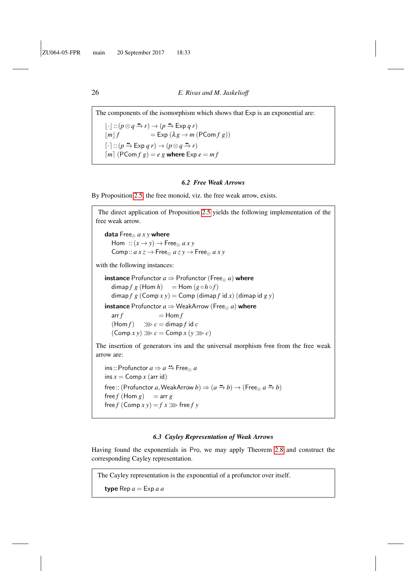The components of the isomorphism which shows that Exp is an exponential are:  $\lfloor \cdot \rfloor$  ::  $(p \otimes q \stackrel{\bullet}{\to} r) \to (p \stackrel{\bullet}{\to} \text{Exp } q r)$  $|m| f = \text{Exp} (\lambda g \rightarrow m (\text{PCom } f g))$  $\lceil \cdot \rceil$  ::  $(p \rightarrow \mathsf{Exp} \ q \ r) \rightarrow (p \otimes q \rightarrow r)$  $[m]$  (PCom  $f$   $g$ ) =  $e$   $g$  where Exp  $e = mf$ 

## *6.2 Free Weak Arrows*

By Proposition [2.5,](#page-6-0) the free monoid, viz. the free weak arrow, exists.

The direct application of Proposition [2.5](#page-6-0) yields the following implementation of the free weak arrow. data Free<sup>⊗</sup> *a x y* where Hom  $::(x \rightarrow y) \rightarrow$  Free<sub>⊗</sub> *axy*  $Comp :: a x z \rightarrow Free_{\otimes} a z y \rightarrow Free_{\otimes} a x y$ with the following instances: **instance** Profunctor  $a \Rightarrow$  Profunctor (Free<sub> $\otimes$ </sub> a) where  $\dim \{ f \mid g \in \mathcal{F} \}$  (Hom  $h$ ) =  $\dim (g \circ h \circ f)$ dimap  $f g$  (Comp  $x y$ ) = Comp (dimap  $f$  id  $x$ ) (dimap id  $g y$ ) **instance** Profunctor  $a \Rightarrow$  WeakArrow (Free<sub> $\otimes$ </sub> a) where  $\arctan f = \text{Hom } f$  $(Hom f) \implies c = \text{dimap } f \text{ id } c$  $(\text{Comp } x y) \gg c = \text{Comp } x (y \gg c)$ The insertion of generators ins and the universal morphism free from the free weak arrow are:  $ins::Profunctor a \Rightarrow a \stackrel{\bullet\bullet}{\rightarrow} Free_{\otimes} a$  $ins x = Comp x (arr id)$ free :: (Profunctor *a*, WeakArrow  $b$ )  $\Rightarrow$   $(a \stackrel{\text{m}}{\rightarrow} b) \rightarrow$  (Free<sub>⊗</sub>  $a \stackrel{\text{m}}{\rightarrow} b$ )  $free f$  (Hom  $g$ ) = arr  $g$ 

#### *6.3 Cayley Representation of Weak Arrows*

Having found the exponentials in Pro, we may apply Theorem [2.8](#page-7-0) and construct the corresponding Cayley representation.

The Cayley representation is the exponential of a profunctor over itself.

```
type \text{Rep } a = \text{Exp } a a
```
free  $f$  (Comp  $x y$ ) =  $f x \gg$  free  $f y$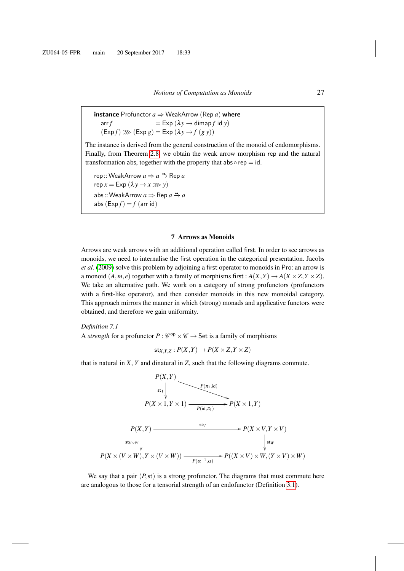**instance** Profunctor  $a \Rightarrow$  WeakArrow (Rep *a*) where  $\mathsf{arr}\, f = \mathsf{Exp}\,(\lambda y \to \mathsf{dimap}\, f \mathsf{id}\, y)$  $(\text{Exp } f) \ggg (\text{Exp } g) = \text{Exp } (\lambda y \rightarrow f (g y))$ 

The instance is derived from the general construction of the monoid of endomorphisms. Finally, from Theorem [2.8,](#page-7-0) we obtain the weak arrow morphism rep and the natural transformation abs, together with the property that  $ab \circ rep = id$ .

rep ::WeakArrow *a* ⇒ *a* qq −→ Rep *a*  $r \neq r \equiv \text{Exp} (\lambda v \rightarrow x \gg v)$ abs::WeakArrow *a* ⇒ Rep *a* ↔ *a* abs  $(\text{Exp } f) = f$  (arr id)

## 7 Arrows as Monoids

<span id="page-26-0"></span>Arrows are weak arrows with an additional operation called first. In order to see arrows as monoids, we need to internalise the first operation in the categorical presentation. Jacobs *et al.* [\(2009\)](#page-38-1) solve this problem by adjoining a first operator to monoids in Pro: an arrow is a monoid  $(A, m, e)$  together with a family of morphisms first :  $A(X, Y) \rightarrow A(X \times Z, Y \times Z)$ . We take an alternative path. We work on a category of strong profunctors (profunctors with a first-like operator), and then consider monoids in this new monoidal category. This approach mirrors the manner in which (strong) monads and applicative functors were obtained, and therefore we gain uniformity.

#### *Definition 7.1*

A *strength* for a profunctor  $P: \mathcal{C}^{op} \times \mathcal{C} \rightarrow$  Set is a family of morphisms

$$
\mathsf{st}_{X,Y,Z}: P(X,Y) \to P(X \times Z, Y \times Z)
$$

that is natural in *X*, *Y* and dinatural in *Z*, such that the following diagrams commute.



We say that a pair  $(P, st)$  is a strong profunctor. The diagrams that must commute here are analogous to those for a tensorial strength of an endofunctor (Definition [3.1\)](#page-9-2).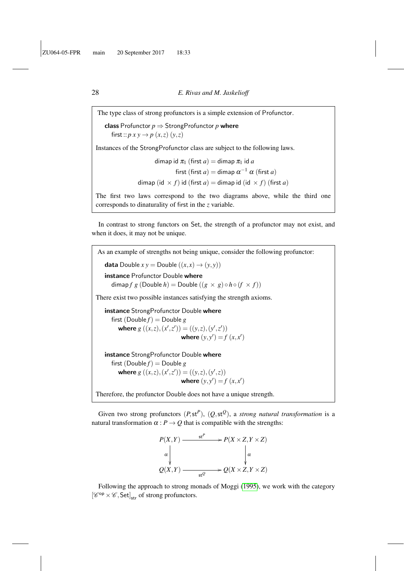The type class of strong profunctors is a simple extension of Profunctor.

class Profunctor  $p \Rightarrow$  StrongProfunctor  $p$  where first::  $p x y \rightarrow p (x, z) (y, z)$ 

Instances of the StrongProfunctor class are subject to the following laws.

dimap id  $\pi_1$  (first  $a$ ) = dimap  $\pi_1$  id  $a$ 

first (first  $a$ ) = dimap  $\alpha^{-1}$   $\alpha$  (first  $a$ ) dimap (id  $\times$  *f*) id (first *a*) = dimap id (id  $\times$  *f*) (first *a*)

The first two laws correspond to the two diagrams above, while the third one

corresponds to dinaturality of first in the *z* variable.

In contrast to strong functors on Set, the strength of a profunctor may not exist, and when it does, it may not be unique.

As an example of strengths not being unique, consider the following profunctor: data Double  $xy =$  Double  $((x, x) \rightarrow (y, y))$ instance Profunctor Double where dimap *f* g (Double *h*) = Double  $((g \times g) \circ h \circ (f \times f))$ There exist two possible instances satisfying the strength axioms. instance StrongProfunctor Double where first (Double  $f$ ) = Double  $g$ where  $g((x, z), (x', z')) = ((y, z), (y', z'))$ where  $(y, y') = f(x, x')$ instance StrongProfunctor Double where first  $(Double f) = Double g$ where  $g((x, z), (x', z')) = ((y, z), (y', z))$ where  $(y, y') = f(x, x')$ Therefore, the profunctor Double does not have a unique strength.

Given two strong profunctors  $(P, \text{st}^P)$ ,  $(Q, \text{st}^Q)$ , a *strong natural transformation* is a natural transformation  $\alpha$  :  $P \rightarrow Q$  that is compatible with the strengths:



Following the approach to strong monads of Moggi [\(1995\)](#page-39-9), we work with the category  $\left[ \mathscr{C}^\mathsf{op} \times \mathscr{C}, \mathsf{Set} \right]_\mathsf{str}$  of strong profunctors.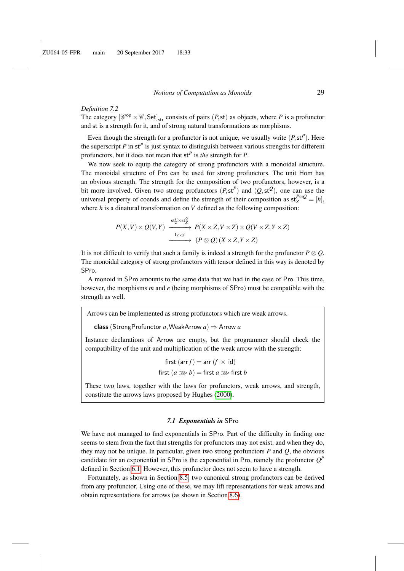#### *Definition 7.2*

The category  $[\mathscr{C}^{op} \times \mathscr{C}, \mathsf{Set}]_{str}$  consists of pairs  $(P, st)$  as objects, where P is a profunctor and st is a strength for it, and of strong natural transformations as morphisms.

Even though the strength for a profunctor is not unique, we usually write  $(P, \mathsf{st}^P)$ . Here the superscript *P* in st*<sup>P</sup>* is just syntax to distinguish between various strengths for different profunctors, but it does not mean that st*<sup>P</sup>* is *the* strength for *P*.

We now seek to equip the category of strong profunctors with a monoidal structure. The monoidal structure of Pro can be used for strong profunctors. The unit Hom has an obvious strength. The strength for the composition of two profunctors, however, is a bit more involved. Given two strong profunctors  $(P, \text{st}^P)$  and  $(Q, \text{st}^Q)$ , one can use the universal property of coends and define the strength of their composition as  $st_Z^{P\otimes Q} = [h]$ , where *h* is a dinatural transformation on *V* defined as the following composition:

$$
P(X,V) \times Q(V,Y) \xrightarrow{\text{st}_Z^P \times \text{st}_Z^Q} P(X \times Z, V \times Z) \times Q(V \times Z, Y \times Z) \xrightarrow{\text{t}_{V \times Z}} (P \otimes Q)(X \times Z, Y \times Z)
$$

It is not difficult to verify that such a family is indeed a strength for the profunctor  $P \otimes Q$ . The monoidal category of strong profunctors with tensor defined in this way is denoted by SPro.

A monoid in SPro amounts to the same data that we had in the case of Pro. This time, however, the morphisms *m* and *e* (being morphisms of SPro) must be compatible with the strength as well.

Arrows can be implemented as strong profunctors which are weak arrows.

class (StrongProfunctor  $a$ , WeakArrow  $a$ )  $\Rightarrow$  Arrow  $a$ 

Instance declarations of Arrow are empty, but the programmer should check the compatibility of the unit and multiplication of the weak arrow with the strength:

first (arr 
$$
f
$$
) = arr ( $f \times id$ )  
first ( $a \gg b$ ) = first  $a \gg b$  first  $b$ 

These two laws, together with the laws for profunctors, weak arrows, and strength, constitute the arrows laws proposed by Hughes [\(2000\)](#page-38-0).

### *7.1 Exponentials in* SPro

We have not managed to find exponentials in SPro. Part of the difficulty in finding one seems to stem from the fact that strengths for profunctors may not exist, and when they do, they may not be unique. In particular, given two strong profunctors *P* and *Q*, the obvious candidate for an exponential in SPro is the exponential in Pro, namely the profunctor  $Q<sup>F</sup>$ defined in Section [6.1.](#page-24-0) However, this profunctor does not seem to have a strength.

Fortunately, as shown in Section [8.5,](#page-32-0) two canonical strong profunctors can be derived from any profunctor. Using one of these, we may lift representations for weak arrows and obtain representations for arrows (as shown in Section [8.6\)](#page-34-0).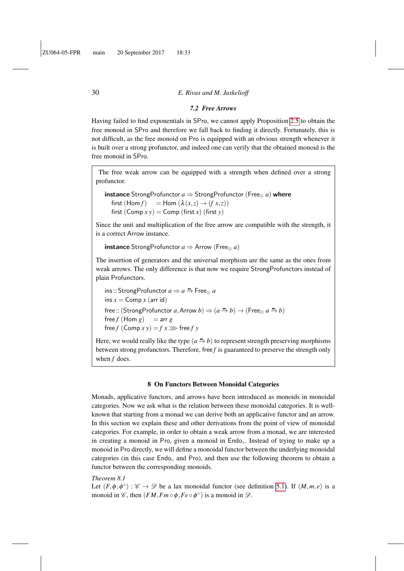#### *7.2 Free Arrows*

Having failed to find exponentials in SPro, we cannot apply Proposition [2.5](#page-6-0) to obtain the free monoid in SPro and therefore we fall back to finding it directly. Fortunately, this is not difficult, as the free monoid on Pro is equipped with an obvious strength whenever it is built over a strong profunctor, and indeed one can verify that the obtained monoid is the free monoid in SPro.

The free weak arrow can be equipped with a strength when defined over a strong profunctor.

```
instance StrongProfunctor a \Rightarrow StrongProfunctor (Free<sub>\otimes</sub> a) where
first (Hom f) = Hom (\lambda(x,z) \rightarrow (fx,z))first (Comp x y) = Comp (first x) (first y)
```
Since the unit and multiplication of the free arrow are compatible with the strength, it is a correct Arrow instance.

```
instance StrongProfunctor a \Rightarrow Arrow (Free<sub>\otimes</sub> a)
```
The insertion of generators and the universal morphism are the same as the ones from weak arrows. The only difference is that now we require StrongProfunctors instead of plain Profunctors.

ins:: StrongProfunctor *a* ⇒ *a* qq −→ Free<sup>⊗</sup> *a*  $ins x = Comp x (arr id)$ free :: (StrongProfunctor *a*, Arrow *b*)  $\Rightarrow$   $(a \stackrel{\bullet}{\rightarrow} b) \rightarrow$  (Free<sub>⊗</sub>  $a \stackrel{\bullet}{\rightarrow} b$ )  $free f$  (Hom  $g$ ) = arr  $g$ free  $f$  (Comp  $x y$ ) =  $f x \gg$  free  $f y$ 

Here, we would really like the type  $(a \rightarrow b)$  to represent strength preserving morphisms between strong profunctors. Therefore, free *f* is guaranteed to preserve the strength only when *f* does.

#### 8 On Functors Between Monoidal Categories

<span id="page-29-0"></span>Monads, applicative functors, and arrows have been introduced as monoids in monoidal categories. Now we ask what is the relation between these monoidal categories. It is wellknown that starting from a monad we can derive both an applicative functor and an arrow. In this section we explain these and other derivations from the point of view of monoidal categories. For example, in order to obtain a weak arrow from a monad, we are interested in creating a monoid in Pro, given a monoid in Endo<sub>o</sub>. Instead of trying to make up a monoid in Pro directly, we will define a monoidal functor between the underlying monoidal categories (in this case  $\text{End}_{\text{o}}$  and Pro), and then use the following theorem to obtain a functor between the corresponding monoids.

### <span id="page-29-1"></span>*Theorem 8.1*

Let  $(F, \phi, \phi^{\circ}) : \mathscr{C} \to \mathscr{D}$  be a lax monoidal functor (see definition [5.1\)](#page-15-1). If  $(M, m, e)$  is a monoid in  $\mathscr{C}$ , then  $(FM, Fm \circ \phi, Fe \circ \phi^{\circ})$  is a monoid in  $\mathscr{D}$ .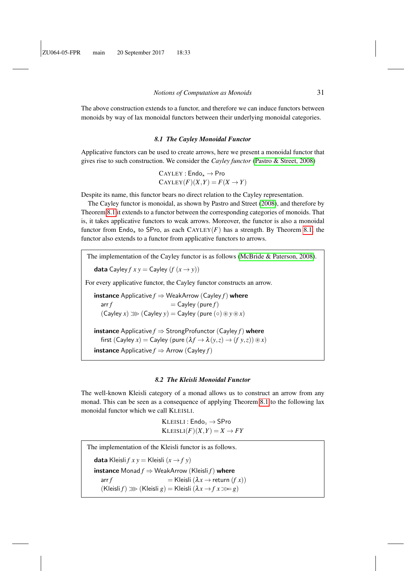The above construction extends to a functor, and therefore we can induce functors between monoids by way of lax monoidal functors between their underlying monoidal categories.

#### *8.1 The Cayley Monoidal Functor*

Applicative functors can be used to create arrows, here we present a monoidal functor that gives rise to such construction. We consider the *Cayley functor* [\(Pastro & Street, 2008\)](#page-39-10)

> $CAYLEY : Endo_{\star} \rightarrow Pro$  $CAYLEY(F)(X,Y) = F(X \rightarrow Y)$

Despite its name, this functor bears no direct relation to the Cayley representation.

The Cayley functor is monoidal, as shown by Pastro and Street [\(2008\)](#page-39-10), and therefore by Theorem [8.1](#page-29-1) it extends to a functor between the corresponding categories of monoids. That is, it takes applicative functors to weak arrows. Moreover, the functor is also a monoidal functor from Endo<sub>\*</sub> to SPro, as each CAYLEY(*F*) has a strength. By Theorem [8.1,](#page-29-1) the functor also extends to a functor from applicative functors to arrows.

The implementation of the Cayley functor is as follows [\(McBride & Paterson, 2008\)](#page-39-2). **data** Cayley  $f x y =$  Cayley  $(f (x \rightarrow y))$ For every applicative functor, the Cayley functor constructs an arrow. **instance** Applicative  $f \Rightarrow$  WeakArrow (Cayley  $f$ ) where  $\mathsf{arr}\, f = \mathsf{Cayley}\,(\mathsf{pure}\, f)$  $(Cayley x) \gg (Cayley y) = Cayley (pure (○) \circledast y \circledast x)$ **instance** Applicative  $f \Rightarrow$  StrongProfunctor (Cayley  $f$ ) where first (Cayley *x*) = Cayley (pure  $(\lambda f \rightarrow \lambda (y, z) \rightarrow (f y, z)) \circledast x$ ) **instance** Applicative  $f \Rightarrow$  Arrow (Cayley  $f$ )

#### *8.2 The Kleisli Monoidal Functor*

The well-known Kleisli category of a monad allows us to construct an arrow from any monad. This can be seen as a consequence of applying Theorem [8.1](#page-29-1) to the following lax monoidal functor which we call KLEISLI.

> $KLEISLI : Endo<sub>o</sub> \rightarrow SPro$  $KLEISLI(F)(X,Y) = X \rightarrow FY$

The implementation of the Kleisli functor is as follows. **data** Kleisli *f*  $x y =$  Kleisli  $(x \rightarrow f y)$ **instance** Monad  $f$  ⇒ WeakArrow (Kleisli  $f$ ) where  $\mathsf{array} f = \mathsf{K}$ leisli  $(\lambda x \to \mathsf{return} (f\ x))$  $(K$ leisli  $f) \gg (K$ leisli  $g) = K$ leisli  $(\lambda x \rightarrow f x \gg g)$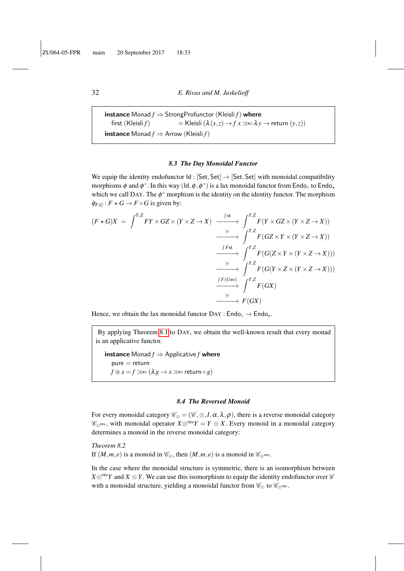**instance** Monad  $f \Rightarrow$  StrongProfunctor (Kleisli  $f$ ) where first (Kleisli *f*) = Kleisli  $(\lambda(x, z) \rightarrow fx \gg \lambda y \rightarrow return(y, z))$ **instance** Monad  $f \Rightarrow$  Arrow (Kleisli  $f$ )

#### *8.3 The Day Monoidal Functor*

<span id="page-31-0"></span>We equip the identity endofunctor  $Id$  : [Set, Set]  $\rightarrow$  [Set, Set] with monoidal compatibility morphisms  $\phi$  and  $\phi^\circ$ . In this way (ld,  $\phi$ ,  $\phi^\circ$ ) is a lax monoidal functor from Endo<sub>°</sub> to Endo<sub>\*</sub> which we call DAY. The  $\phi^{\circ}$  morphism is the identity on the identity functor. The morphism  $\phi_{F,G}: F \star G \to F \circ G$  is given by:

$$
(F \star G)X = \int^{Y,Z} FY \times GZ \times (Y \times Z \to X) \xrightarrow{\int^{S}t} \int^{Y,Z} F(Y \times GZ \times (Y \times Z \to X))
$$
  
\n
$$
\xrightarrow{\leq} \int^{Y,Z} F(GZ \times Y \times (Y \times Z \to X))
$$
  
\n
$$
\xrightarrow{\int^{F}t} F(G(Z \times Y \times (Y \times Z \to X)))
$$
  
\n
$$
\xrightarrow{\leq} \int^{Y,Z} F(G(Y \times Z \times (Y \times Z \to X)))
$$
  
\n
$$
\xrightarrow{\leq} \int^{Y,Z} F(G(Y \times Z \times (Y \times Z \to X)))
$$
  
\n
$$
\xrightarrow{\leq} \int^{Y,Z} F(GX)
$$
  
\n
$$
\xrightarrow{\cong} F(GX)
$$

Hence, we obtain the lax monoidal functor  $\text{Day}: \text{Endo}_\circ \to \text{Endo}_\star$ .

By applying Theorem [8.1](#page-29-1) to DAY, we obtain the well-known result that every monad is an applicative functor.

**instance** Monad  $f \Rightarrow$  Applicative  $f$  where  $pure = return$  $f \circledast x = f \ggg (\lambda g \rightarrow x \ggg \text{ return } \circ g)$ 

#### <span id="page-31-1"></span>*8.4 The Reversed Monoid*

For every monoidal category  $\mathscr{C}_{\otimes} = (\mathscr{C}, \otimes, I, \alpha, \lambda, \rho)$ , there is a reverse monoidal category  $\mathscr{C}_{\otimes}$ rev, with monoidal operator  $X\otimes$ <sup>rev</sup> $Y = Y \otimes X$ . Every monoid in a monoidal category determines a monoid in the reverse monoidal category:

*Theorem 8.2*

If  $(M,m,e)$  is a monoid in  $\mathcal{C}_{\otimes}$ , then  $(M,m,e)$  is a monoid in  $\mathcal{C}_{\otimes}$ <sup>rev</sup>.

In the case where the monoidal structure is symmetric, there is an isomorphism between *X*⊗<sup>rev</sup>*Y* and *X* ⊗ *Y*. We can use this isomorphism to equip the identity endofunctor over  $\mathscr C$ with a monoidal structure, yielding a monoidal functor from  $\mathscr{C}_{\otimes}$  to  $\mathscr{C}_{\otimes^{\text{rev}}}$ .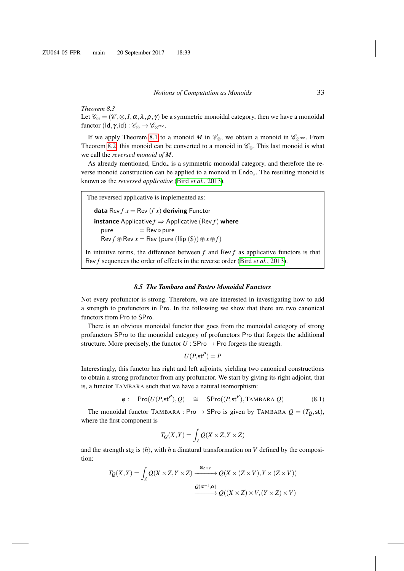## *Theorem 8.3*

Let  $\mathscr{C}_{\otimes} = (\mathscr{C}, \otimes, I, \alpha, \lambda, \rho, \gamma)$  be a symmetric monoidal category, then we have a monoidal functor  $(\mathsf{Id}, \gamma, \mathsf{id}) : \mathscr{C}_{\otimes} \to \mathscr{C}_{\otimes}^{\mathrm{rev}}$ .

If we apply Theorem [8.1](#page-29-1) to a monoid *M* in  $\mathcal{C}_{\otimes}$ , we obtain a monoid in  $\mathcal{C}_{\otimes}$ <sup>rev</sup>. From Theorem [8.2,](#page-31-1) this monoid can be converted to a monoid in  $\mathcal{C}_{\otimes}$ . This last monoid is what we call the *reversed monoid of M*.

As already mentioned,  $End_4$  is a symmetric monoidal category, and therefore the reverse monoid construction can be applied to a monoid in  $End_{\mathcal{L}}$ . The resulting monoid is known as the *reversed applicative* (Bird *et al.*[, 2013\)](#page-37-7).

```
The reversed applicative is implemented as:
```
**data** Rev  $f x = \text{Rev}(f x)$  **deriving** Functor **instance** Applicative  $f \Rightarrow$  Applicative (Rev  $f$ ) where  $pure$  = Rev  $\circ$  pure  $\text{Rev } f \circledast \text{Rev } x = \text{Rev } (\text{pure } (\text{flip } (\$)) \circledast x \circledast f)$ 

In intuitive terms, the difference between *f* and Rev *f* as applicative functors is that Rev *f* sequences the order of effects in the reverse order (Bird *et al.*[, 2013\)](#page-37-7).

#### *8.5 The Tambara and Pastro Monoidal Functors*

<span id="page-32-0"></span>Not every profunctor is strong. Therefore, we are interested in investigating how to add a strength to profunctors in Pro. In the following we show that there are two canonical functors from Pro to SPro.

There is an obvious monoidal functor that goes from the monoidal category of strong profunctors SPro to the monoidal category of profunctors Pro that forgets the additional structure. More precisely, the functor  $U :$  SPro  $\rightarrow$  Pro forgets the strength.

$$
U(P, \mathsf{st}^P) = P
$$

Interestingly, this functor has right and left adjoints, yielding two canonical constructions to obtain a strong profunctor from any profunctor. We start by giving its right adjoint, that is, a functor TAMBARA such that we have a natural isomorphism:

<span id="page-32-1"></span>
$$
\phi: \text{Pro}(U(P, \text{st}^P), Q) \cong \text{SPro}((P, \text{st}^P), \text{TAMBARA } Q) \tag{8.1}
$$

The monoidal functor TAMBARA : Pro  $\rightarrow$  SPro is given by TAMBARA  $Q = (T_O, st)$ , where the first component is

$$
T_Q(X,Y) = \int_Z Q(X \times Z, Y \times Z)
$$

and the strength st<sub>Z</sub> is  $\langle h \rangle$ , with *h* a dinatural transformation on *V* defined by the composition:

$$
T_Q(X,Y) = \int_Z Q(X \times Z, Y \times Z) \xrightarrow{\omega_{Z \times V}} Q(X \times (Z \times V), Y \times (Z \times V))
$$

$$
\xrightarrow{Q(\alpha^{-1}, \alpha)} Q((X \times Z) \times V, (Y \times Z) \times V)
$$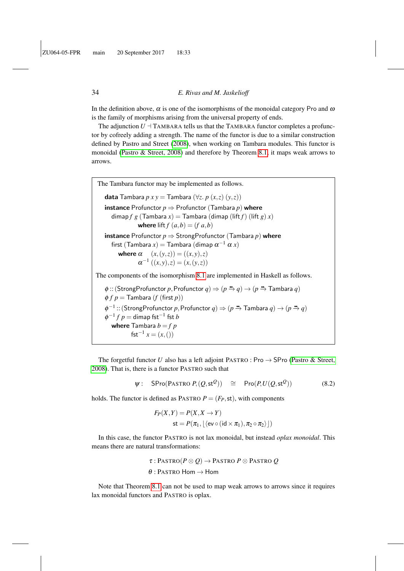In the definition above,  $\alpha$  is one of the isomorphisms of the monoidal category Pro and  $\omega$ is the family of morphisms arising from the universal property of ends.

The adjunction  $U \perp$  TAMBARA tells us that the TAMBARA functor completes a profunctor by cofreely adding a strength. The name of the functor is due to a similar construction defined by Pastro and Street [\(2008\)](#page-39-10), when working on Tambara modules. This functor is monoidal [\(Pastro & Street, 2008\)](#page-39-10) and therefore by Theorem [8.1,](#page-29-1) it maps weak arrows to arrows.

The Tambara functor may be implemented as follows. data Tambara *p x y* = Tambara (∀*z*. *p* (*x*,*z*) (*y*,*z*)) **instance** Profunctor  $p \Rightarrow$  Profunctor (Tambara  $p$ ) where dimap  $f g$  (Tambara  $x$ ) = Tambara (dimap (lift  $f$ ) (lift  $g(x)$ ) where lift  $f(a,b) = (f a,b)$ **instance** Profunctor  $p \Rightarrow$  StrongProfunctor (Tambara  $p$ ) where first (Tambara  $x)$   $=$  Tambara (dimap  $\alpha^{-1}$   $\alpha$   $x)$ where  $\alpha$   $(x, (y, z)) = ((x, y), z)$  $\alpha^{-1} ((x, y), z) = (x, (y, z))$ The components of the isomorphism [8.1](#page-32-1) are implemented in Haskell as follows.  $\phi$  :: (StrongProfunctor *p*, Profunctor  $q$ )  $\Rightarrow$   $(p \stackrel{\bullet}{\to} q) \rightarrow (p \stackrel{\bullet}{\to}$  Tambara  $q$ )  $\phi f p$  = Tambara (*f* (first *p*))  $\phi^{-1}$  :: (StrongProfunctor *p*, Profunctor *q*)  $\Rightarrow$  (*p*  $\Rightarrow$  Tambara *q*)  $\rightarrow$  (*p*  $\Rightarrow$  *q*)  $\phi^{-1} f p =$  dimap fst<sup>−1</sup> fst *b* where Tambara  $b = f p$  $fst^{-1} x = (x, ())$ 

The forgetful functor *U* also has a left adjoint PASTRO : Pro  $\rightarrow$  SPro [\(Pastro & Street,](#page-39-10) [2008\)](#page-39-10). That is, there is a functor PASTRO such that

> $\Psi$ : SPro $(\text{PASTRO } P, (Q, \text{st}^Q))$  ≅ Pro $(P, U(Q, \text{st}^Q))$  $(8.2)$

holds. The functor is defined as PASTRO  $P = (F_P, st)$ , with components

$$
F_P(X,Y) = P(X, X \to Y)
$$
  
st =  $P(\pi_1, \lfloor (\text{ev} \circ (\text{id} \times \pi_1), \pi_2 \circ \pi_2) \rfloor)$ 

In this case, the functor PASTRO is not lax monoidal, but instead *oplax monoidal*. This means there are natural transformations:

> $\tau$ : Pastro( $P \otimes Q$ )  $\rightarrow$  Pastro  $P \otimes$  Pastro Q  $θ$ : PASTRO Hom  $\rightarrow$  Hom

Note that Theorem [8.1](#page-29-1) can not be used to map weak arrows to arrows since it requires lax monoidal functors and PASTRO is oplax.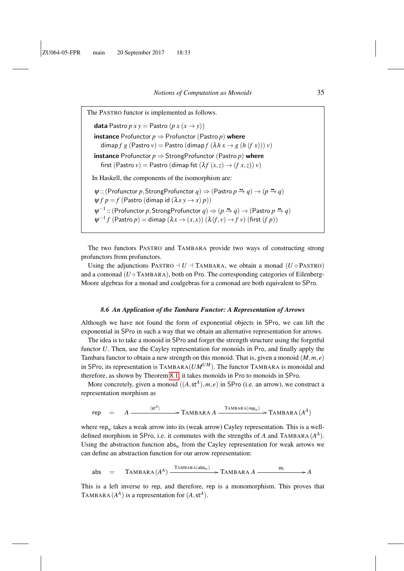The PASTRO functor is implemented as follows. **data** Pastro  $p x y =$  Pastro  $(p x (x \rightarrow y))$ **instance** Profunctor  $p \Rightarrow$  Profunctor (Pastro  $p$ ) where dimap *f g* (Pastro *v*) = Pastro (dimap *f*  $(\lambda h x \rightarrow g (h (f x))) v)$ **instance** Profunctor  $p \Rightarrow$  Strong Profunctor (Pastro  $p$ ) where first (Pastro  $v$ ) = Pastro (dimap fst  $(\lambda f(x, z) \rightarrow (f(x, z)) v)$ In Haskell, the components of the isomorphism are:  $\psi$  :: (Profunctor *p*, StrongProfunctor  $q$ )  $\Rightarrow$  (Pastro  $p \stackrel{a}{\rightarrow} q$ )  $\rightarrow$   $(p \stackrel{a}{\rightarrow} q)$  $\psi f p = f$  (Pastro (dimap id  $(\lambda x y \rightarrow x) p$ ))  $\psi^{-1}$  :: (Profunctor *p*, StrongProfunctor  $q$ )  $\Rightarrow$   $(p \rightarrow q) \rightarrow$  (Pastro  $p \rightarrow q$ )  $\psi^{-1} f$  (Pastro  $p$ ) = dimap  $(\lambda x \rightarrow (x, x))$   $(\lambda(f, v) \rightarrow f v)$  (first  $(f p)$ )

The two functors PASTRO and TAMBARA provide two ways of constructing strong profunctors from profunctors.

Using the adjunctions PASTRO  $\neg U \dashv$  TAMBARA, we obtain a monad (*U*  $\circ$  PASTRO) and a comonad ( $U \circ$  TAMBARA), both on Pro. The corresponding categories of Eilenberg-Moore algebras for a monad and coalgebras for a comonad are both equivalent to SPro.

#### *8.6 An Application of the Tambara Functor: A Representation of Arrows*

<span id="page-34-0"></span>Although we have not found the form of exponential objects in SPro, we can lift the exponential in SPro in such a way that we obtain an alternative representation for arrows.

The idea is to take a monoid in SPro and forget the strength structure using the forgetful functor *U*. Then, use the Cayley representation for monoids in Pro, and finally apply the Tambara functor to obtain a new strength on this monoid. That is, given a monoid (*M*,*m*, *e*) in SPro, its representation is  $TAMBARA(UM^{UM})$ . The functor  $TAMBARA$  is monoidal and therefore, as shown by Theorem [8.1,](#page-29-1) it takes monoids in Pro to monoids in SPro.

More concretely, given a monoid  $((A, st^A), m, e)$  in SPro (i.e. an arrow), we construct a representation morphism as

$$
\mathsf{rep} \quad = \quad A \xrightarrow{\langle \mathsf{st}^A \rangle} \qquad \qquad \mathsf{TAMBARA} \, A \xrightarrow{\mathsf{TAMBARA}( \mathsf{rep}_w) } \mathsf{TAMBARA} \, (A^A)
$$

where  $rep_w$  takes a weak arrow into its (weak arrow) Cayley representation. This is a welldefined morphism in SPro, i.e. it commutes with the strengths of A and TAMBARA  $(A<sup>A</sup>)$ . Using the abstraction function  $abs_w$  from the Cayley representation for weak arrows we can define an abstraction function for our arrow representation:

$$
\text{abs} = \text{TAMBARA}(A^A) \xrightarrow{\text{TAMBARA}(abs_w)} \text{TAMBARA} A \xrightarrow{\omega_1} A
$$

This is a left inverse to rep, and therefore, rep is a monomorphism. This proves that TAMBARA  $(A^A)$  is a representation for  $(A, st^A)$ .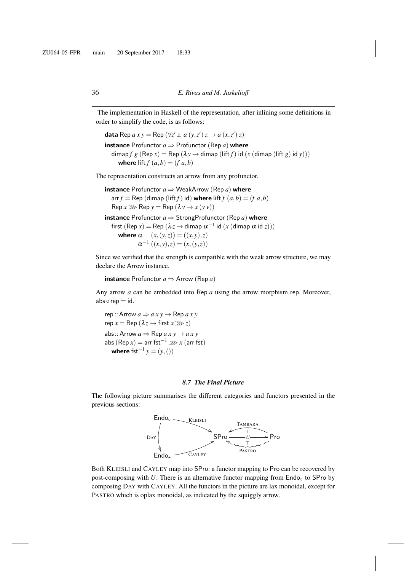The implementation in Haskell of the representation, after inlining some definitions in order to simplify the code, is as follows: data Rep  $ax y = \text{Rep} (\forall z' z. a (y, z') z \rightarrow a (x, z') z)$ **instance** Profunctor  $a \Rightarrow$  Profunctor (Rep *a*) where dimap *f*  $g$  (Rep  $x$ ) = Rep ( $\lambda y \rightarrow$  dimap (lift *f*) id (*x* (dimap (lift  $g$ ) id  $y$ ))) where lift  $f(a,b) = (f a,b)$ The representation constructs an arrow from any profunctor. **instance** Profunctor  $a \Rightarrow$  WeakArrow (Rep *a*) where arr  $f = \text{Rep}$  (dimap (lift  $f$ ) id) where lift  $f(a,b) = (f, a,b)$  $\text{Rep } x \ggg \text{Rep } y = \text{Rep } (\lambda v \rightarrow x (y v))$ **instance** Profunctor  $a \Rightarrow$  StrongProfunctor (Rep *a*) where first  $(\mathsf{Rep}\, x) = \mathsf{Rep}\,(\lambda z \to \mathsf{dimap}\, \alpha^{-1}$  id  $(x\,(\mathsf{dimap}\, \alpha\, \mathsf{id}\, z)))$ where  $\alpha$   $(x, (y, z)) = ((x, y), z)$  $\alpha^{-1} ((x, y), z) = (x, (y, z))$ Since we verified that the strength is compatible with the weak arrow structure, we may declare the Arrow instance. **instance** Profunctor  $a \Rightarrow$  Arrow (Rep  $a$ ) Any arrow *a* can be embedded into Rep *a* using the arrow morphism rep. Moreover,  $abs \circ rep = id.$ rep :: Arrow  $a \Rightarrow a x y \rightarrow \text{Rep } a x y$  $rep x = Rep (\lambda z \rightarrow first x \gg z)$ abs:: Arrow  $a \Rightarrow$  Rep  $a x y \rightarrow a x y$ abs  $(\text{Rep } x) = \text{arr } \text{fst}^{-1} \gg x \text{ (arr } \text{fst})$ **where**  $fst^{-1}y = (y,())$ 

#### *8.7 The Final Picture*

The following picture summarises the different categories and functors presented in the previous sections:



Both KLEISLI and CAYLEY map into SPro: a functor mapping to Pro can be recovered by post-composing with  $U$ . There is an alternative functor mapping from  $\text{End}o_{\circ}$  to SPro by composing DAY with CAYLEY. All the functors in the picture are lax monoidal, except for PASTRO which is oplax monoidal, as indicated by the squiggly arrow.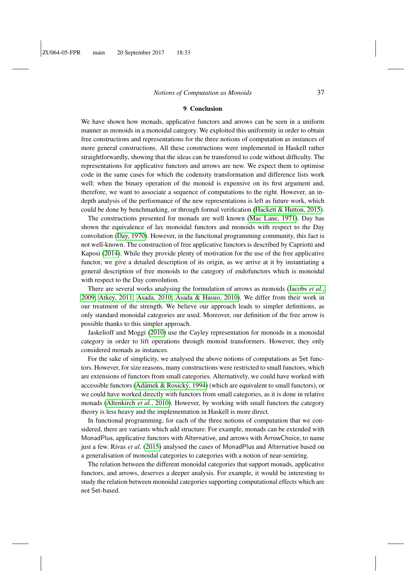#### 9 Conclusion

<span id="page-36-0"></span>We have shown how monads, applicative functors and arrows can be seen in a uniform manner as monoids in a monoidal category. We exploited this uniformity in order to obtain free constructions and representations for the three notions of computation as instances of more general constructions. All these constructions were implemented in Haskell rather straightforwardly, showing that the ideas can be transferred to code without difficulty. The representations for applicative functors and arrows are new. We expect them to optimise code in the same cases for which the codensity transformation and difference lists work well: when the binary operation of the monoid is expensive on its first argument and, therefore, we want to associate a sequence of computations to the right. However, an indepth analysis of the performance of the new representations is left as future work, which could be done by benchmarking, or through formal verification [\(Hackett & Hutton, 2015\)](#page-38-19).

The constructions presented for monads are well known [\(Mac Lane, 1971\)](#page-39-3). Day has shown the equivalence of lax monoidal functors and monoids with respect to the Day convolution [\(Day, 1970\)](#page-38-3). However, in the functional programming community, this fact is not well-known. The construction of free applicative functors is described by Capriotti and Kaposi [\(2014\)](#page-37-1). While they provide plenty of motivation for the use of the free applicative functor, we give a detailed description of its origin, as we arrive at it by instantiating a general description of free monoids to the category of endofunctors which is monoidal with respect to the Day convolution.

There are several works analysing the formulation of arrows as monoids [\(Jacobs](#page-38-1) *et al.*, [2009;](#page-38-1) [Atkey, 2011;](#page-37-8) [Asada, 2010;](#page-37-5) [Asada & Hasuo, 2010\)](#page-37-9). We differ from their work in our treatment of the strength. We believe our approach leads to simpler definitions, as only standard monoidal categories are used. Moreover, our definition of the free arrow is possible thanks to this simpler approach.

Jaskelioff and Moggi [\(2010\)](#page-38-20) use the Cayley representation for monoids in a monoidal category in order to lift operations through monoid transformers. However, they only considered monads as instances.

For the sake of simplicity, we analysed the above notions of computations as Set functors. However, for size reasons, many constructions were restricted to small functors, which are extensions of functors from small categories. Alternatively, we could have worked with accessible functors (Adámek & Rosický, 1994) (which are equivalent to small functors), or we could have worked directly with functors from small categories, as it is done in relative monads [\(Altenkirch](#page-37-11) *et al.*, 2010). However, by working with small functors the category theory is less heavy and the implementation in Haskell is more direct.

In functional programming, for each of the three notions of computation that we considered, there are variants which add structure. For example, monads can be extended with MonadPlus, applicative functors with Alternative, and arrows with ArrowChoice, to name just a few. Rivas *et al.* [\(2015\)](#page-39-11) analysed the cases of MonadPlus and Alternative based on a generalisation of monoidal categories to categories with a notion of near-semiring.

The relation between the different monoidal categories that support monads, applicative functors, and arrows, deserves a deeper analysis. For example, it would be interesting to study the relation between monoidal categories supporting computational effects which are not Set-based.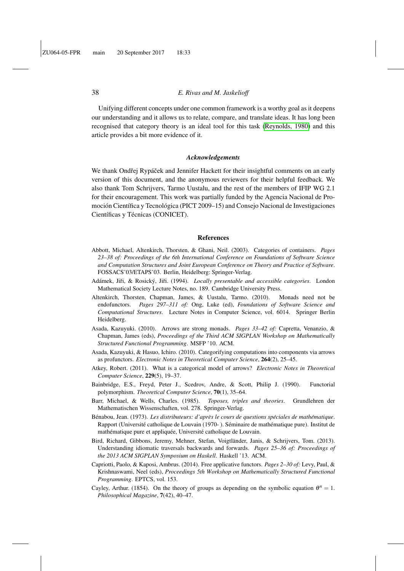Unifying different concepts under one common framework is a worthy goal as it deepens our understanding and it allows us to relate, compare, and translate ideas. It has long been recognised that category theory is an ideal tool for this task [\(Reynolds, 1980\)](#page-39-12) and this article provides a bit more evidence of it.

#### *Acknowledgements*

We thank Ondřej Rypáček and Jennifer Hackett for their insightful comments on an early version of this document, and the anonymous reviewers for their helpful feedback. We also thank Tom Schrijvers, Tarmo Uustalu, and the rest of the members of IFIP WG 2.1 for their encouragement. This work was partially funded by the Agencia Nacional de Promoción Científica y Tecnológica (PICT 2009–15) and Consejo Nacional de Investigaciones Científicas y Técnicas (CONICET).

#### References

- <span id="page-37-3"></span>Abbott, Michael, Altenkirch, Thorsten, & Ghani, Neil. (2003). Categories of containers. *Pages 23–38 of: Proceedings of the 6th International Conference on Foundations of Software Science and Computation Structures and Joint European Conference on Theory and Practice of Software*. FOSSACS'03/ETAPS'03. Berlin, Heidelberg: Springer-Verlag.
- <span id="page-37-10"></span>Adámek, Jiři, & Rosický, Jiři. (1994). *Locally presentable and accessible categories*. London Mathematical Society Lecture Notes, no. 189. Cambridge University Press.
- <span id="page-37-11"></span>Altenkirch, Thorsten, Chapman, James, & Uustalu, Tarmo. (2010). Monads need not be endofunctors. *Pages 297–311 of:* Ong, Luke (ed), *Foundations of Software Science and Computational Structures*. Lecture Notes in Computer Science, vol. 6014. Springer Berlin Heidelberg.
- <span id="page-37-5"></span>Asada, Kazuyuki. (2010). Arrows are strong monads. *Pages 33–42 of:* Capretta, Venanzio, & Chapman, James (eds), *Proceedings of the Third ACM SIGPLAN Workshop on Mathematically Structured Functional Programming*. MSFP '10. ACM.
- <span id="page-37-9"></span>Asada, Kazuyuki, & Hasuo, Ichiro. (2010). Categorifying computations into components via arrows as profunctors. *Electronic Notes in Theoretical Computer Science*, 264(2), 25–45.
- <span id="page-37-8"></span>Atkey, Robert. (2011). What is a categorical model of arrows? *Electronic Notes in Theoretical Computer Science*, 229(5), 19–37.
- <span id="page-37-4"></span>Bainbridge, E.S., Freyd, Peter J., Scedrov, Andre, & Scott, Philip J. (1990). Functorial polymorphism. *Theoretical Computer Science*, 70(1), 35–64.
- <span id="page-37-0"></span>Barr, Michael, & Wells, Charles. (1985). *Toposes, triples and theories*. Grundlehren der Mathematischen Wissenschaften, vol. 278. Springer-Verlag.
- <span id="page-37-6"></span>Bénabou, Jean. (1973). Les distributeurs: d'après le cours de questions spéciales de mathématique. Rapport (Université catholique de Louvain (1970-). Séminaire de mathématique pure). Institut de mathématique pure et appliquée, Université catholique de Louvain.
- <span id="page-37-7"></span>Bird, Richard, Gibbons, Jeremy, Mehner, Stefan, Voigtlander, Janis, & Schrijvers, Tom. (2013). ¨ Understanding idiomatic traversals backwards and forwards. *Pages 25–36 of: Proceedings of the 2013 ACM SIGPLAN Symposium on Haskell*. Haskell '13. ACM.
- <span id="page-37-1"></span>Capriotti, Paolo, & Kaposi, Ambrus. (2014). Free applicative functors. *Pages 2–30 of:* Levy, Paul, & Krishnaswami, Neel (eds), *Proceedings 5th Workshop on Mathematically Structured Functional Programming*. EPTCS, vol. 153.
- <span id="page-37-2"></span>Cayley, Arthur. (1854). On the theory of groups as depending on the symbolic equation  $\theta^n = 1$ . *Philosophical Magazine*, 7(42), 40–47.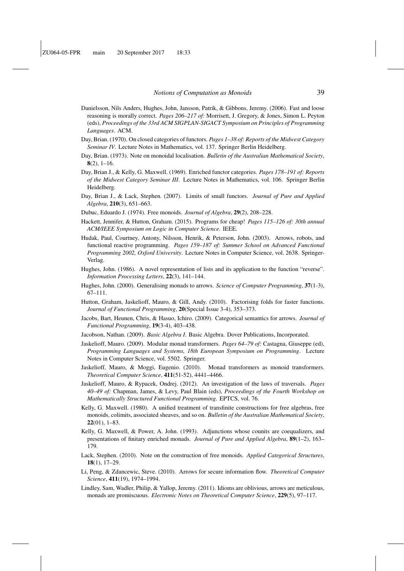- <span id="page-38-8"></span>Danielsson, Nils Anders, Hughes, John, Jansson, Patrik, & Gibbons, Jeremy. (2006). Fast and loose reasoning is morally correct. *Pages 206–217 of:* Morrisett, J. Gregory, & Jones, Simon L. Peyton (eds), *Proceedings of the 33rd ACM SIGPLAN-SIGACT Symposium on Principles of Programming Languages*. ACM.
- <span id="page-38-3"></span>Day, Brian. (1970). On closed categories of functors. *Pages 1–38 of: Reports of the Midwest Category Seminar IV*. Lecture Notes in Mathematics, vol. 137. Springer Berlin Heidelberg.
- <span id="page-38-16"></span>Day, Brian. (1973). Note on monoidal localisation. *Bulletin of the Australian Mathematical Society*,  $8(2)$ , 1–16.
- <span id="page-38-15"></span>Day, Brian J., & Kelly, G. Maxwell. (1969). Enriched functor categories. *Pages 178–191 of: Reports of the Midwest Category Seminar III*. Lecture Notes in Mathematics, vol. 106. Springer Berlin Heidelberg.
- <span id="page-38-12"></span>Day, Brian J., & Lack, Stephen. (2007). Limits of small functors. *Journal of Pure and Applied Algebra*, 210(3), 651–663.
- <span id="page-38-9"></span>Dubuc, Eduardo J. (1974). Free monoids. *Journal of Algebra*, 29(2), 208–228.
- <span id="page-38-19"></span>Hackett, Jennifer, & Hutton, Graham. (2015). Programs for cheap! *Pages 115–126 of: 30th annual ACM/IEEE Symposium on Logic in Computer Science*. IEEE.
- <span id="page-38-18"></span>Hudak, Paul, Courtney, Antony, Nilsson, Henrik, & Peterson, John. (2003). Arrows, robots, and functional reactive programming. *Pages 159–187 of: Summer School on Advanced Functional Programming 2002, Oxford University*. Lecture Notes in Computer Science, vol. 2638. Springer-Verlag.
- <span id="page-38-5"></span>Hughes, John. (1986). A novel representation of lists and its application to the function "reverse". *Information Processing Letters*, 22(3), 141–144.
- <span id="page-38-0"></span>Hughes, John. (2000). Generalising monads to arrows. *Science of Computer Programming*, 37(1-3), 67–111.
- <span id="page-38-6"></span>Hutton, Graham, Jaskelioff, Mauro, & Gill, Andy. (2010). Factorising folds for faster functions. *Journal of Functional Programming*, 20(Special Issue 3-4), 353–373.
- <span id="page-38-1"></span>Jacobs, Bart, Heunen, Chris, & Hasuo, Ichiro. (2009). Categorical semantics for arrows. *Journal of Functional Programming*, 19(3-4), 403–438.
- <span id="page-38-4"></span>Jacobson, Nathan. (2009). *Basic Algebra I*. Basic Algebra. Dover Publications, Incorporated.
- <span id="page-38-14"></span>Jaskelioff, Mauro. (2009). Modular monad transformers. *Pages 64–79 of:* Castagna, Giuseppe (ed), *Programming Languages and Systems, 18th European Symposium on Programming*. Lecture Notes in Computer Science, vol. 5502. Springer.
- <span id="page-38-20"></span>Jaskelioff, Mauro, & Moggi, Eugenio. (2010). Monad transformers as monoid transformers. *Theoretical Computer Science*, 411(51-52), 4441–4466.
- <span id="page-38-2"></span>Jaskelioff, Mauro, & Rypacek, Ondrej. (2012). An investigation of the laws of traversals. *Pages 40–49 of:* Chapman, James, & Levy, Paul Blain (eds), *Proceedings of the Fourth Workshop on Mathematically Structured Functional Programming*. EPTCS, vol. 76.
- <span id="page-38-10"></span>Kelly, G. Maxwell. (1980). A unified treatment of transfinite constructions for free algebras, free monoids, colimits, associated sheaves, and so on. *Bulletin of the Australian Mathematical Society*, 22(01), 1–83.
- <span id="page-38-13"></span>Kelly, G. Maxwell, & Power, A. John. (1993). Adjunctions whose counits are coequalizers, and presentations of finitary enriched monads. *Journal of Pure and Applied Algebra*, 89(1–2), 163– 179.
- <span id="page-38-11"></span>Lack, Stephen. (2010). Note on the construction of free monoids. *Applied Categorical Structures*, 18(1), 17–29.
- <span id="page-38-17"></span>Li, Peng, & Zdancewic, Steve. (2010). Arrows for secure information flow. *Theoretical Computer Science*, 411(19), 1974–1994.
- <span id="page-38-7"></span>Lindley, Sam, Wadler, Philip, & Yallop, Jeremy. (2011). Idioms are oblivious, arrows are meticulous, monads are promiscuous. *Electronic Notes on Theoretical Computer Science*, 229(5), 97–117.